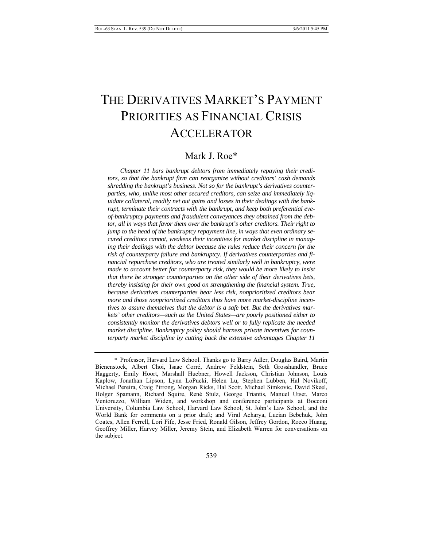# THE DERIVATIVES MARKET'S PAYMENT PRIORITIES AS FINANCIAL CRISIS ACCELERATOR

# Mark J. Roe\*

*Chapter 11 bars bankrupt debtors from immediately repaying their creditors, so that the bankrupt firm can reorganize without creditors' cash demands shredding the bankrupt's business. Not so for the bankrupt's derivatives counterparties, who, unlike most other secured creditors, can seize and immediately liquidate collateral, readily net out gains and losses in their dealings with the bankrupt, terminate their contracts with the bankrupt, and keep both preferential eveof-bankruptcy payments and fraudulent conveyances they obtained from the debtor, all in ways that favor them over the bankrupt's other creditors. Their right to jump to the head of the bankruptcy repayment line, in ways that even ordinary secured creditors cannot, weakens their incentives for market discipline in managing their dealings with the debtor because the rules reduce their concern for the risk of counterparty failure and bankruptcy. If derivatives counterparties and financial repurchase creditors, who are treated similarly well in bankruptcy, were made to account better for counterparty risk, they would be more likely to insist that there be stronger counterparties on the other side of their derivatives bets, thereby insisting for their own good on strengthening the financial system. True, because derivatives counterparties bear less risk, nonprioritized creditors bear more and those nonprioritized creditors thus have more market-discipline incentives to assure themselves that the debtor is a safe bet. But the derivatives markets' other creditors—such as the United States—are poorly positioned either to consistently monitor the derivatives debtors well or to fully replicate the needed market discipline. Bankruptcy policy should harness private incentives for counterparty market discipline by cutting back the extensive advantages Chapter 11* 

 <sup>\*</sup> Professor, Harvard Law School. Thanks go to Barry Adler, Douglas Baird, Martin Bienenstock, Albert Choi, Isaac Corré, Andrew Feldstein, Seth Grosshandler, Bruce Haggerty, Emily Hoort, Marshall Huebner, Howell Jackson, Christian Johnson, Louis Kaplow, Jonathan Lipson, Lynn LoPucki, Helen Lu, Stephen Lubben, Hal Novikoff, Michael Pereira, Craig Pirrong, Morgan Ricks, Hal Scott, Michael Simkovic, David Skeel, Holger Spamann, Richard Squire, René Stulz, George Triantis, Manuel Utset, Marco Ventoruzzo, William Widen, and workshop and conference participants at Bocconi University, Columbia Law School, Harvard Law School, St. John's Law School, and the World Bank for comments on a prior draft; and Viral Acharya, Lucian Bebchuk, John Coates, Allen Ferrell, Lori Fife, Jesse Fried, Ronald Gilson, Jeffrey Gordon, Rocco Huang, Geoffrey Miller, Harvey Miller, Jeremy Stein, and Elizabeth Warren for conversations on the subject.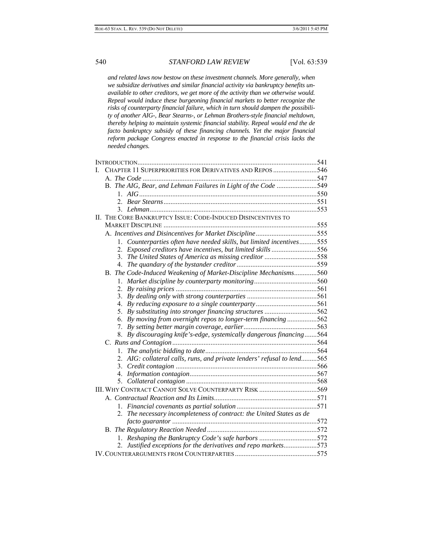*and related laws now bestow on these investment channels. More generally, when we subsidize derivatives and similar financial activity via bankruptcy benefits unavailable to other creditors, we get more of the activity than we otherwise would. Repeal would induce these burgeoning financial markets to better recognize the risks of counterparty financial failure, which in turn should dampen the possibility of another AIG-, Bear Stearns-, or Lehman Brothers-style financial meltdown, thereby helping to maintain systemic financial stability. Repeal would end the de facto bankruptcy subsidy of these financing channels. Yet the major financial reform package Congress enacted in response to the financial crisis lacks the needed changes.* 

| L | CHAPTER 11 SUPERPRIORITIES FOR DERIVATIVES AND REPOS 546                |  |
|---|-------------------------------------------------------------------------|--|
|   |                                                                         |  |
|   | B. The AIG, Bear, and Lehman Failures in Light of the Code 549          |  |
|   |                                                                         |  |
|   |                                                                         |  |
|   |                                                                         |  |
|   | II. THE CORE BANKRUPTCY ISSUE: CODE-INDUCED DISINCENTIVES TO            |  |
|   |                                                                         |  |
|   | A. Incentives and Disincentives for Market Discipline555                |  |
|   | 1. Counterparties often have needed skills, but limited incentives555   |  |
|   | 2. Exposed creditors have incentives, but limited skills 556            |  |
|   | 3. The United States of America as missing creditor 558                 |  |
|   |                                                                         |  |
|   | B. The Code-Induced Weakening of Market-Discipline Mechanisms560        |  |
|   |                                                                         |  |
|   |                                                                         |  |
|   |                                                                         |  |
|   |                                                                         |  |
|   | 5. By substituting into stronger financing structures 562               |  |
|   | 6. By moving from overnight repos to longer-term financing 562          |  |
|   |                                                                         |  |
|   | 8. By discouraging knife's-edge, systemically dangerous financing564    |  |
|   |                                                                         |  |
|   | 1.                                                                      |  |
|   | 2. AIG: collateral calls, runs, and private lenders' refusal to lend565 |  |
|   | 3.                                                                      |  |
|   |                                                                         |  |
|   |                                                                         |  |
|   |                                                                         |  |
|   |                                                                         |  |
|   |                                                                         |  |
|   | 2. The necessary incompleteness of contract: the United States as de    |  |
|   |                                                                         |  |
|   |                                                                         |  |
|   | 1. Reshaping the Bankruptcy Code's safe harbors 572                     |  |
|   | 2. Justified exceptions for the derivatives and repo markets573         |  |
|   |                                                                         |  |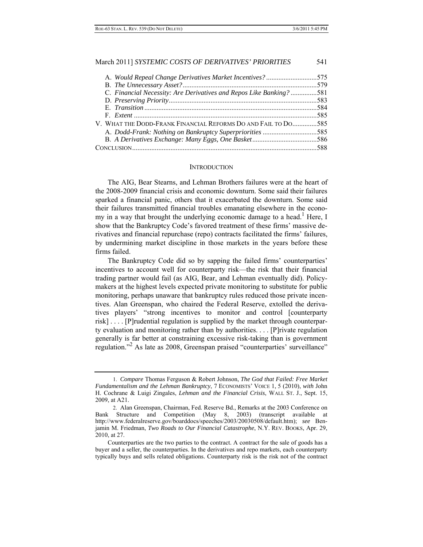| A. Would Repeal Change Derivatives Market Incentives? 575           |  |
|---------------------------------------------------------------------|--|
|                                                                     |  |
| C. Financial Necessity: Are Derivatives and Repos Like Banking? 581 |  |
|                                                                     |  |
|                                                                     |  |
|                                                                     |  |
| V. WHAT THE DODD-FRANK FINANCIAL REFORMS DO AND FAIL TO DO585       |  |
| A. Dodd-Frank: Nothing on Bankruptcy Superpriorities 585            |  |
|                                                                     |  |
|                                                                     |  |

#### **INTRODUCTION**

The AIG, Bear Stearns, and Lehman Brothers failures were at the heart of the 2008-2009 financial crisis and economic downturn. Some said their failures sparked a financial panic, others that it exacerbated the downturn. Some said their failures transmitted financial troubles emanating elsewhere in the economy in a way that brought the underlying economic damage to a head.<sup>1</sup> Here, I show that the Bankruptcy Code's favored treatment of these firms' massive derivatives and financial repurchase (repo) contracts facilitated the firms' failures, by undermining market discipline in those markets in the years before these firms failed.

The Bankruptcy Code did so by sapping the failed firms' counterparties' incentives to account well for counterparty risk—the risk that their financial trading partner would fail (as AIG, Bear, and Lehman eventually did). Policymakers at the highest levels expected private monitoring to substitute for public monitoring, perhaps unaware that bankruptcy rules reduced those private incentives. Alan Greenspan, who chaired the Federal Reserve, extolled the derivatives players' "strong incentives to monitor and control [counterparty risk] . . . . [P]rudential regulation is supplied by the market through counterparty evaluation and monitoring rather than by authorities. . . . [P]rivate regulation generally is far better at constraining excessive risk-taking than is government regulation."<sup>2</sup> As late as 2008, Greenspan praised "counterparties' surveillance"

 <sup>1.</sup> *Compare* Thomas Ferguson & Robert Johnson, *The God that Failed: Free Market Fundamentalism and the Lehman Bankruptcy*, 7 ECONOMISTS' VOICE 1, 5 (2010), *with* John H. Cochrane & Luigi Zingales, *Lehman and the Financial Crisis*, WALL ST. J., Sept. 15, 2009, at A21.

 <sup>2.</sup> Alan Greenspan, Chairman, Fed. Reserve Bd., Remarks at the 2003 Conference on Bank Structure and Competition (May 8, 2003) (transcript available at http://www.federalreserve.gov/boarddocs/speeches/2003/20030508/default.htm); *see* Benjamin M. Friedman, *Two Roads to Our Financial Catastrophe*, N.Y. REV. BOOKS, Apr. 29, 2010, at 27.

Counterparties are the two parties to the contract. A contract for the sale of goods has a buyer and a seller, the counterparties. In the derivatives and repo markets, each counterparty typically buys and sells related obligations. Counterparty risk is the risk not of the contract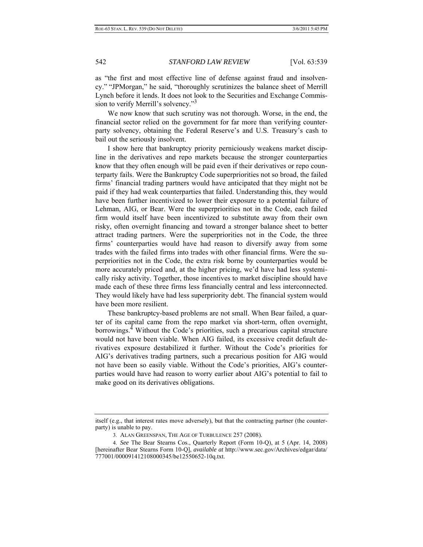as "the first and most effective line of defense against fraud and insolvency." "JPMorgan," he said, "thoroughly scrutinizes the balance sheet of Merrill Lynch before it lends. It does not look to the Securities and Exchange Commission to verify Merrill's solvency."<sup>3</sup>

We now know that such scrutiny was not thorough. Worse, in the end, the financial sector relied on the government for far more than verifying counterparty solvency, obtaining the Federal Reserve's and U.S. Treasury's cash to bail out the seriously insolvent.

I show here that bankruptcy priority perniciously weakens market discipline in the derivatives and repo markets because the stronger counterparties know that they often enough will be paid even if their derivatives or repo counterparty fails. Were the Bankruptcy Code superpriorities not so broad, the failed firms' financial trading partners would have anticipated that they might not be paid if they had weak counterparties that failed. Understanding this, they would have been further incentivized to lower their exposure to a potential failure of Lehman, AIG, or Bear. Were the superpriorities not in the Code, each failed firm would itself have been incentivized to substitute away from their own risky, often overnight financing and toward a stronger balance sheet to better attract trading partners. Were the superpriorities not in the Code, the three firms' counterparties would have had reason to diversify away from some trades with the failed firms into trades with other financial firms. Were the superpriorities not in the Code, the extra risk borne by counterparties would be more accurately priced and, at the higher pricing, we'd have had less systemically risky activity. Together, those incentives to market discipline should have made each of these three firms less financially central and less interconnected. They would likely have had less superpriority debt. The financial system would have been more resilient.

These bankruptcy-based problems are not small. When Bear failed, a quarter of its capital came from the repo market via short-term, often overnight, borrowings.<sup>4</sup> Without the Code's priorities, such a precarious capital structure would not have been viable. When AIG failed, its excessive credit default derivatives exposure destabilized it further. Without the Code's priorities for AIG's derivatives trading partners, such a precarious position for AIG would not have been so easily viable. Without the Code's priorities, AIG's counterparties would have had reason to worry earlier about AIG's potential to fail to make good on its derivatives obligations.

itself (e.g., that interest rates move adversely), but that the contracting partner (the counterparty) is unable to pay.

 <sup>3.</sup> ALAN GREENSPAN, THE AGE OF TURBULENCE 257 (2008).

 <sup>4.</sup> *See* The Bear Stearns Cos., Quarterly Report (Form 10-Q), at 5 (Apr. 14, 2008) [hereinafter Bear Stearns Form 10-Q], *available at* http://www.sec.gov/Archives/edgar/data/ 777001/000091412108000345/be12550652-10q.txt.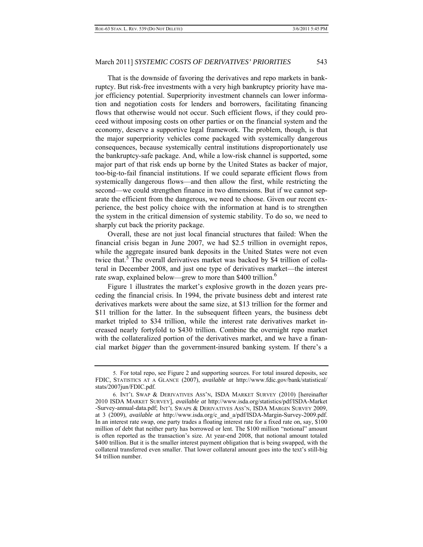That is the downside of favoring the derivatives and repo markets in bankruptcy. But risk-free investments with a very high bankruptcy priority have major efficiency potential. Superpriority investment channels can lower information and negotiation costs for lenders and borrowers, facilitating financing flows that otherwise would not occur. Such efficient flows, if they could proceed without imposing costs on other parties or on the financial system and the economy, deserve a supportive legal framework. The problem, though, is that the major superpriority vehicles come packaged with systemically dangerous consequences, because systemically central institutions disproportionately use the bankruptcy-safe package. And, while a low-risk channel is supported, some major part of that risk ends up borne by the United States as backer of major, too-big-to-fail financial institutions. If we could separate efficient flows from systemically dangerous flows—and then allow the first, while restricting the second—we could strengthen finance in two dimensions. But if we cannot separate the efficient from the dangerous, we need to choose. Given our recent experience, the best policy choice with the information at hand is to strengthen the system in the critical dimension of systemic stability. To do so, we need to sharply cut back the priority package.

Overall, these are not just local financial structures that failed: When the financial crisis began in June 2007, we had \$2.5 trillion in overnight repos, while the aggregate insured bank deposits in the United States were not even twice that.<sup>5</sup> The overall derivatives market was backed by \$4 trillion of collateral in December 2008, and just one type of derivatives market—the interest rate swap, explained below—grew to more than \$400 trillion.<sup>6</sup>

 Figure 1 illustrates the market's explosive growth in the dozen years preceding the financial crisis. In 1994, the private business debt and interest rate derivatives markets were about the same size, at \$13 trillion for the former and \$11 trillion for the latter. In the subsequent fifteen years, the business debt market tripled to \$34 trillion, while the interest rate derivatives market increased nearly fortyfold to \$430 trillion. Combine the overnight repo market with the collateralized portion of the derivatives market, and we have a financial market *bigger* than the government-insured banking system. If there's a

 <sup>5.</sup> For total repo, see Figure 2 and supporting sources. For total insured deposits, see FDIC, STATISTICS AT A GLANCE (2007), *available at* http://www.fdic.gov/bank/statistical/ stats/2007jun/FDIC.pdf.

 <sup>6.</sup> INT'L SWAP & DERIVATIVES ASS'N, ISDA MARKET SURVEY (2010) [hereinafter 2010 ISDA MARKET SURVEY], *available at* http://www.isda.org/statistics/pdf/ISDA-Market -Survey-annual-data.pdf; INT'L SWAPS & DERIVATIVES ASS'N, ISDA MARGIN SURVEY 2009, at 3 (2009), *available at* http://www.isda.org/c\_and\_a/pdf/ISDA-Margin-Survey-2009.pdf. In an interest rate swap, one party trades a floating interest rate for a fixed rate on, say, \$100 million of debt that neither party has borrowed or lent. The \$100 million "notional" amount is often reported as the transaction's size. At year-end 2008, that notional amount totaled \$400 trillion. But it is the smaller interest payment obligation that is being swapped, with the collateral transferred even smaller. That lower collateral amount goes into the text's still-big \$4 trillion number.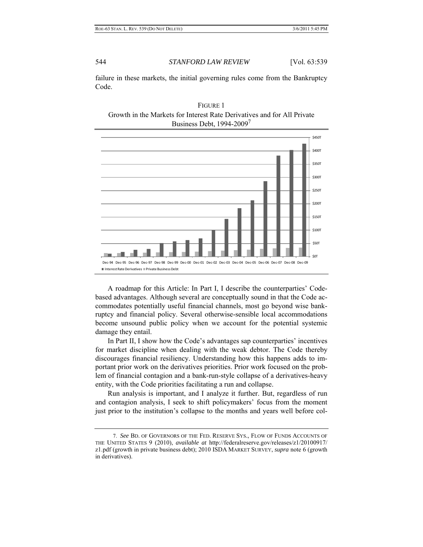failure in these markets, the initial governing rules come from the Bankruptcy Code.





A roadmap for this Article: In Part I, I describe the counterparties' Codebased advantages. Although several are conceptually sound in that the Code accommodates potentially useful financial channels, most go beyond wise bankruptcy and financial policy. Several otherwise-sensible local accommodations become unsound public policy when we account for the potential systemic damage they entail.

In Part II, I show how the Code's advantages sap counterparties' incentives for market discipline when dealing with the weak debtor. The Code thereby discourages financial resiliency. Understanding how this happens adds to important prior work on the derivatives priorities. Prior work focused on the problem of financial contagion and a bank-run-style collapse of a derivatives-heavy entity, with the Code priorities facilitating a run and collapse.

Run analysis is important, and I analyze it further. But, regardless of run and contagion analysis, I seek to shift policymakers' focus from the moment just prior to the institution's collapse to the months and years well before col-

 <sup>7.</sup> *See* BD. OF GOVERNORS OF THE FED. RESERVE SYS., FLOW OF FUNDS ACCOUNTS OF THE UNITED STATES 9 (2010), *available at* http://federalreserve.gov/releases/z1/20100917/ z1.pdf (growth in private business debt); 2010 ISDA MARKET SURVEY, *supra* note 6 (growth in derivatives).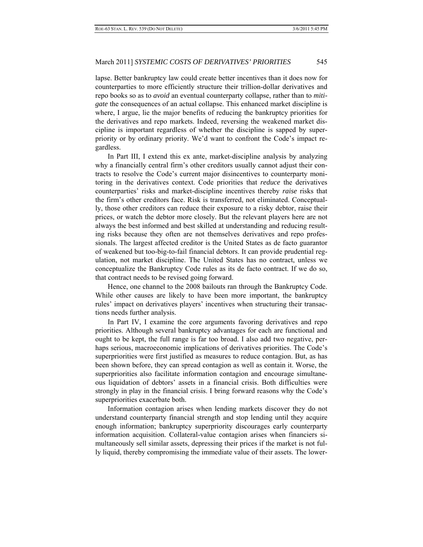lapse. Better bankruptcy law could create better incentives than it does now for counterparties to more efficiently structure their trillion-dollar derivatives and repo books so as to *avoid* an eventual counterparty collapse, rather than to *mitigate* the consequences of an actual collapse. This enhanced market discipline is where, I argue, lie the major benefits of reducing the bankruptcy priorities for the derivatives and repo markets. Indeed, reversing the weakened market discipline is important regardless of whether the discipline is sapped by superpriority or by ordinary priority. We'd want to confront the Code's impact regardless.

In Part III, I extend this ex ante, market-discipline analysis by analyzing why a financially central firm's other creditors usually cannot adjust their contracts to resolve the Code's current major disincentives to counterparty monitoring in the derivatives context. Code priorities that *reduce* the derivatives counterparties' risks and market-discipline incentives thereby *raise* risks that the firm's other creditors face. Risk is transferred, not eliminated. Conceptually, those other creditors can reduce their exposure to a risky debtor, raise their prices, or watch the debtor more closely. But the relevant players here are not always the best informed and best skilled at understanding and reducing resulting risks because they often are not themselves derivatives and repo professionals. The largest affected creditor is the United States as de facto guarantor of weakened but too-big-to-fail financial debtors. It can provide prudential regulation, not market discipline. The United States has no contract, unless we conceptualize the Bankruptcy Code rules as its de facto contract. If we do so, that contract needs to be revised going forward.

Hence, one channel to the 2008 bailouts ran through the Bankruptcy Code. While other causes are likely to have been more important, the bankruptcy rules' impact on derivatives players' incentives when structuring their transactions needs further analysis.

In Part IV, I examine the core arguments favoring derivatives and repo priorities. Although several bankruptcy advantages for each are functional and ought to be kept, the full range is far too broad. I also add two negative, perhaps serious, macroeconomic implications of derivatives priorities. The Code's superpriorities were first justified as measures to reduce contagion. But, as has been shown before, they can spread contagion as well as contain it. Worse, the superpriorities also facilitate information contagion and encourage simultaneous liquidation of debtors' assets in a financial crisis. Both difficulties were strongly in play in the financial crisis. I bring forward reasons why the Code's superpriorities exacerbate both.

Information contagion arises when lending markets discover they do not understand counterparty financial strength and stop lending until they acquire enough information; bankruptcy superpriority discourages early counterparty information acquisition. Collateral-value contagion arises when financiers simultaneously sell similar assets, depressing their prices if the market is not fully liquid, thereby compromising the immediate value of their assets. The lower-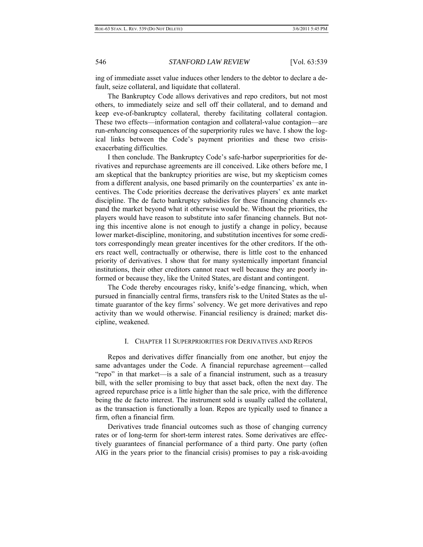ing of immediate asset value induces other lenders to the debtor to declare a default, seize collateral, and liquidate that collateral.

The Bankruptcy Code allows derivatives and repo creditors, but not most others, to immediately seize and sell off their collateral, and to demand and keep eve-of-bankruptcy collateral, thereby facilitating collateral contagion. These two effects—information contagion and collateral-value contagion—are run-*enhancing* consequences of the superpriority rules we have. I show the logical links between the Code's payment priorities and these two crisisexacerbating difficulties.

I then conclude. The Bankruptcy Code's safe-harbor superpriorities for derivatives and repurchase agreements are ill conceived. Like others before me, I am skeptical that the bankruptcy priorities are wise, but my skepticism comes from a different analysis, one based primarily on the counterparties' ex ante incentives. The Code priorities decrease the derivatives players' ex ante market discipline. The de facto bankruptcy subsidies for these financing channels expand the market beyond what it otherwise would be. Without the priorities, the players would have reason to substitute into safer financing channels. But noting this incentive alone is not enough to justify a change in policy, because lower market-discipline, monitoring, and substitution incentives for some creditors correspondingly mean greater incentives for the other creditors. If the others react well, contractually or otherwise, there is little cost to the enhanced priority of derivatives. I show that for many systemically important financial institutions, their other creditors cannot react well because they are poorly informed or because they, like the United States, are distant and contingent.

The Code thereby encourages risky, knife's-edge financing, which, when pursued in financially central firms, transfers risk to the United States as the ultimate guarantor of the key firms' solvency. We get more derivatives and repo activity than we would otherwise. Financial resiliency is drained; market discipline, weakened.

### I. CHAPTER 11 SUPERPRIORITIES FOR DERIVATIVES AND REPOS

Repos and derivatives differ financially from one another, but enjoy the same advantages under the Code. A financial repurchase agreement—called "repo" in that market—is a sale of a financial instrument, such as a treasury bill, with the seller promising to buy that asset back, often the next day. The agreed repurchase price is a little higher than the sale price, with the difference being the de facto interest. The instrument sold is usually called the collateral, as the transaction is functionally a loan. Repos are typically used to finance a firm, often a financial firm.

Derivatives trade financial outcomes such as those of changing currency rates or of long-term for short-term interest rates. Some derivatives are effectively guarantees of financial performance of a third party. One party (often AIG in the years prior to the financial crisis) promises to pay a risk-avoiding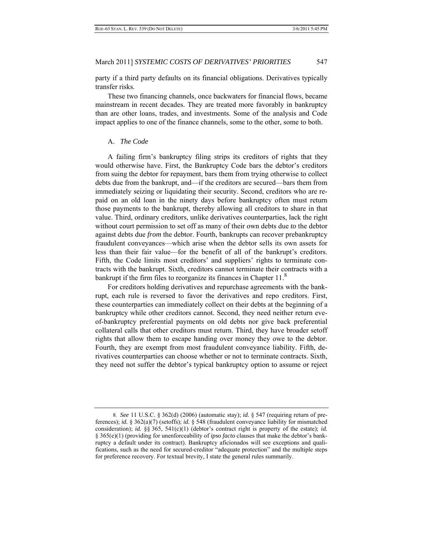party if a third party defaults on its financial obligations. Derivatives typically transfer risks.

These two financing channels, once backwaters for financial flows, became mainstream in recent decades. They are treated more favorably in bankruptcy than are other loans, trades, and investments. Some of the analysis and Code impact applies to one of the finance channels, some to the other, some to both.

# A. *The Code*

A failing firm's bankruptcy filing strips its creditors of rights that they would otherwise have. First, the Bankruptcy Code bars the debtor's creditors from suing the debtor for repayment, bars them from trying otherwise to collect debts due from the bankrupt, and—if the creditors are secured—bars them from immediately seizing or liquidating their security. Second, creditors who are repaid on an old loan in the ninety days before bankruptcy often must return those payments to the bankrupt, thereby allowing all creditors to share in that value. Third, ordinary creditors, unlike derivatives counterparties, lack the right without court permission to set off as many of their own debts due *to* the debtor against debts due *from* the debtor. Fourth, bankrupts can recover prebankruptcy fraudulent conveyances—which arise when the debtor sells its own assets for less than their fair value—for the benefit of all of the bankrupt's creditors. Fifth, the Code limits most creditors' and suppliers' rights to terminate contracts with the bankrupt. Sixth, creditors cannot terminate their contracts with a bankrupt if the firm files to reorganize its finances in Chapter 11.<sup>8</sup>

For creditors holding derivatives and repurchase agreements with the bankrupt, each rule is reversed to favor the derivatives and repo creditors. First, these counterparties can immediately collect on their debts at the beginning of a bankruptcy while other creditors cannot. Second, they need neither return eveof-bankruptcy preferential payments on old debts nor give back preferential collateral calls that other creditors must return. Third, they have broader setoff rights that allow them to escape handing over money they owe to the debtor. Fourth, they are exempt from most fraudulent conveyance liability. Fifth, derivatives counterparties can choose whether or not to terminate contracts. Sixth, they need not suffer the debtor's typical bankruptcy option to assume or reject

 <sup>8.</sup> *See* 11 U.S.C. § 362(d) (2006) (automatic stay); *id.* § 547 (requiring return of preferences); *id.* § 362(a)(7) (setoffs); *id.* § 548 (fraudulent conveyance liability for mismatched consideration); *id.* §§ 365, 541(c)(1) (debtor's contract right is property of the estate); *id.* § 365(e)(1) (providing for unenforceability of *ipso facto* clauses that make the debtor's bankruptcy a default under its contract). Bankruptcy aficionados will see exceptions and qualifications, such as the need for secured-creditor "adequate protection" and the multiple steps for preference recovery. For textual brevity, I state the general rules summarily.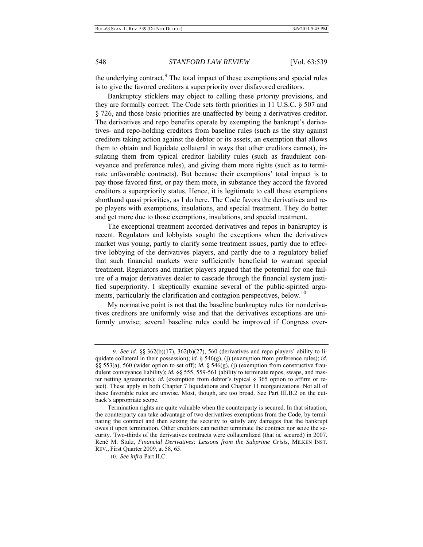the underlying contract.<sup>9</sup> The total impact of these exemptions and special rules is to give the favored creditors a superpriority over disfavored creditors.

Bankruptcy sticklers may object to calling these *priority* provisions, and they are formally correct. The Code sets forth priorities in 11 U.S.C. § 507 and § 726, and those basic priorities are unaffected by being a derivatives creditor. The derivatives and repo benefits operate by exempting the bankrupt's derivatives- and repo-holding creditors from baseline rules (such as the stay against creditors taking action against the debtor or its assets, an exemption that allows them to obtain and liquidate collateral in ways that other creditors cannot), insulating them from typical creditor liability rules (such as fraudulent conveyance and preference rules), and giving them more rights (such as to terminate unfavorable contracts). But because their exemptions' total impact is to pay those favored first, or pay them more, in substance they accord the favored creditors a superpriority status. Hence, it is legitimate to call these exemptions shorthand quasi priorities, as I do here. The Code favors the derivatives and repo players with exemptions, insulations, and special treatment. They do better and get more due to those exemptions, insulations, and special treatment.

The exceptional treatment accorded derivatives and repos in bankruptcy is recent. Regulators and lobbyists sought the exceptions when the derivatives market was young, partly to clarify some treatment issues, partly due to effective lobbying of the derivatives players, and partly due to a regulatory belief that such financial markets were sufficiently beneficial to warrant special treatment. Regulators and market players argued that the potential for one failure of a major derivatives dealer to cascade through the financial system justified superpriority. I skeptically examine several of the public-spirited arguments, particularly the clarification and contagion perspectives, below.<sup>10</sup>

My normative point is not that the baseline bankruptcy rules for nonderivatives creditors are uniformly wise and that the derivatives exceptions are uniformly unwise; several baseline rules could be improved if Congress over-

 <sup>9.</sup> *See id.* §§ 362(b)(17), 362(b)(27), 560 (derivatives and repo players' ability to liquidate collateral in their possession); *id.* § 546(g), (j) (exemption from preference rules); *id.* §§ 553(a), 560 (wider option to set off); *id.* § 546(g), (j) (exemption from constructive fraudulent conveyance liability); *id.* §§ 555, 559-561 (ability to terminate repos, swaps, and master netting agreements); *id.* (exemption from debtor's typical § 365 option to affirm or reject). These apply in both Chapter 7 liquidations and Chapter 11 reorganizations. Not all of these favorable rules are unwise. Most, though, are too broad. See Part III.B.2 on the cutback's appropriate scope.

Termination rights are quite valuable when the counterparty is secured. In that situation, the counterparty can take advantage of two derivatives exemptions from the Code, by terminating the contract and then seizing the security to satisfy any damages that the bankrupt owes it upon termination. Other creditors can neither terminate the contract nor seize the security. Two-thirds of the derivatives contracts were collateralized (that is, secured) in 2007. René M. Stulz, *Financial Derivatives: Lessons from the Subprime Crisis*, MILKEN INST. REV., First Quarter 2009, at 58, 65.

 <sup>10.</sup> *See infra* Part II.C.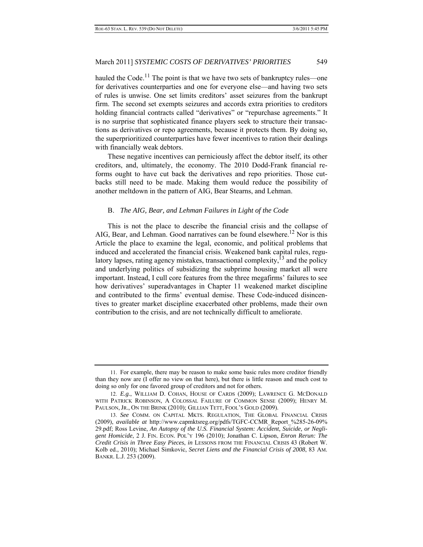hauled the Code.<sup>11</sup> The point is that we have two sets of bankruptcy rules—one for derivatives counterparties and one for everyone else—and having two sets of rules is unwise. One set limits creditors' asset seizures from the bankrupt firm. The second set exempts seizures and accords extra priorities to creditors holding financial contracts called "derivatives" or "repurchase agreements." It is no surprise that sophisticated finance players seek to structure their transactions as derivatives or repo agreements, because it protects them. By doing so, the superprioritized counterparties have fewer incentives to ration their dealings with financially weak debtors.

These negative incentives can perniciously affect the debtor itself, its other creditors, and, ultimately, the economy. The 2010 Dodd-Frank financial reforms ought to have cut back the derivatives and repo priorities. Those cutbacks still need to be made. Making them would reduce the possibility of another meltdown in the pattern of AIG, Bear Stearns, and Lehman.

### B. *The AIG, Bear, and Lehman Failures in Light of the Code*

This is not the place to describe the financial crisis and the collapse of AIG, Bear, and Lehman. Good narratives can be found elsewhere.<sup>12</sup> Nor is this Article the place to examine the legal, economic, and political problems that induced and accelerated the financial crisis. Weakened bank capital rules, regulatory lapses, rating agency mistakes, transactional complexity,  $13$  and the policy and underlying politics of subsidizing the subprime housing market all were important. Instead, I cull core features from the three megafirms' failures to see how derivatives' superadvantages in Chapter 11 weakened market discipline and contributed to the firms' eventual demise. These Code-induced disincentives to greater market discipline exacerbated other problems, made their own contribution to the crisis, and are not technically difficult to ameliorate.

 <sup>11.</sup> For example, there may be reason to make some basic rules more creditor friendly than they now are (I offer no view on that here), but there is little reason and much cost to doing so only for one favored group of creditors and not for others.

 <sup>12.</sup> *E.g.*, WILLIAM D. COHAN, HOUSE OF CARDS (2009); LAWRENCE G. MCDONALD WITH PATRICK ROBINSON, A COLOSSAL FAILURE OF COMMON SENSE (2009); HENRY M. PAULSON, JR., ON THE BRINK (2010); GILLIAN TETT, FOOL'S GOLD (2009).

 <sup>13.</sup> *See* COMM. ON CAPITAL MKTS. REGULATION, THE GLOBAL FINANCIAL CRISIS (2009), *available at* http://www.capmktsreg.org/pdfs/TGFC-CCMR\_Report\_%285-26-09% 29.pdf; Ross Levine, *An Autopsy of the U.S. Financial System: Accident, Suicide, or Negligent Homicide*, 2 J. FIN. ECON. POL'Y 196 (2010); Jonathan C. Lipson, *Enron Rerun: The Credit Crisis in Three Easy Pieces*, *in* LESSONS FROM THE FINANCIAL CRISIS 43 (Robert W. Kolb ed., 2010); Michael Simkovic, *Secret Liens and the Financial Crisis of 2008*, 83 AM. BANKR. L.J. 253 (2009).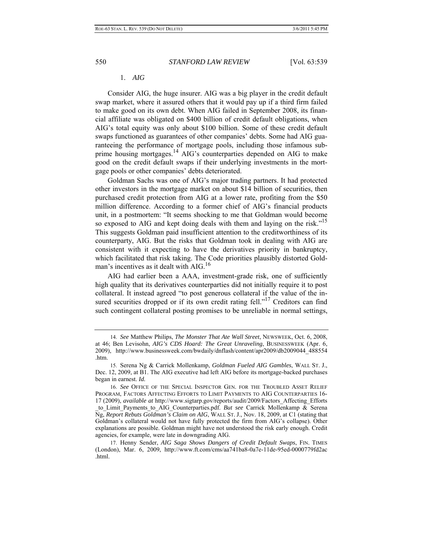### 1. *AIG*

Consider AIG, the huge insurer. AIG was a big player in the credit default swap market, where it assured others that it would pay up if a third firm failed to make good on its own debt. When AIG failed in September 2008, its financial affiliate was obligated on \$400 billion of credit default obligations, when AIG's total equity was only about \$100 billion. Some of these credit default swaps functioned as guarantees of other companies' debts. Some had AIG guaranteeing the performance of mortgage pools, including those infamous subprime housing mortgages.<sup>14</sup> AIG's counterparties depended on AIG to make good on the credit default swaps if their underlying investments in the mortgage pools or other companies' debts deteriorated.

Goldman Sachs was one of AIG's major trading partners. It had protected other investors in the mortgage market on about \$14 billion of securities, then purchased credit protection from AIG at a lower rate, profiting from the \$50 million difference. According to a former chief of AIG's financial products unit, in a postmortem: "It seems shocking to me that Goldman would become so exposed to AIG and kept doing deals with them and laying on the risk."<sup>15</sup> This suggests Goldman paid insufficient attention to the creditworthiness of its counterparty, AIG. But the risks that Goldman took in dealing with AIG are consistent with it expecting to have the derivatives priority in bankruptcy, which facilitated that risk taking. The Code priorities plausibly distorted Goldman's incentives as it dealt with AIG.<sup>16</sup>

AIG had earlier been a AAA, investment-grade risk, one of sufficiently high quality that its derivatives counterparties did not initially require it to post collateral. It instead agreed "to post generous collateral if the value of the insured securities dropped or if its own credit rating fell."<sup>17</sup> Creditors can find such contingent collateral posting promises to be unreliable in normal settings,

 <sup>14.</sup> *See* Matthew Philips, *The Monster That Ate Wall Street*, NEWSWEEK, Oct. 6, 2008, at 46; Ben Levisohn, *AIG's CDS Hoard: The Great Unraveling*, BUSINESSWEEK (Apr. 6, 2009), http://www.businessweek.com/bwdaily/dnflash/content/apr2009/db2009044\_488554 .htm.

 <sup>15.</sup> Serena Ng & Carrick Mollenkamp, *Goldman Fueled AIG Gambles*, WALL ST. J., Dec. 12, 2009, at B1. The AIG executive had left AIG before its mortgage-backed purchases began in earnest. *Id.*

 <sup>16.</sup> *See* OFFICE OF THE SPECIAL INSPECTOR GEN. FOR THE TROUBLED ASSET RELIEF PROGRAM, FACTORS AFFECTING EFFORTS TO LIMIT PAYMENTS TO AIG COUNTERPARTIES 16- 17 (2009), *available at* http://www.sigtarp.gov/reports/audit/2009/Factors\_Affecting\_Efforts to Limit Payments to AIG Counterparties.pdf. *But see* Carrick Mollenkamp & Serena Ng, *Report Rebuts Goldman's Claim on AIG*, WALL ST. J., Nov. 18, 2009, at C1 (stating that Goldman's collateral would not have fully protected the firm from AIG's collapse). Other explanations are possible. Goldman might have not understood the risk early enough. Credit agencies, for example, were late in downgrading AIG.

 <sup>17.</sup> Henny Sender, *AIG Saga Shows Dangers of Credit Default Swaps*, FIN. TIMES (London), Mar. 6, 2009, http://www.ft.com/cms/aa741ba8-0a7e-11de-95ed-0000779fd2ac .html.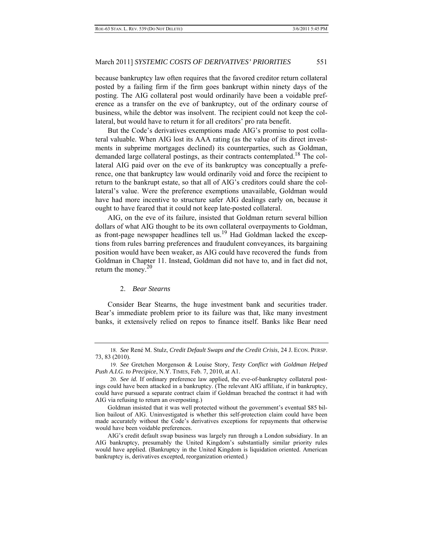because bankruptcy law often requires that the favored creditor return collateral posted by a failing firm if the firm goes bankrupt within ninety days of the posting. The AIG collateral post would ordinarily have been a voidable preference as a transfer on the eve of bankruptcy, out of the ordinary course of business, while the debtor was insolvent. The recipient could not keep the collateral, but would have to return it for all creditors' pro rata benefit.

But the Code's derivatives exemptions made AIG's promise to post collateral valuable. When AIG lost its AAA rating (as the value of its direct investments in subprime mortgages declined) its counterparties, such as Goldman, demanded large collateral postings, as their contracts contemplated.<sup>18</sup> The collateral AIG paid over on the eve of its bankruptcy was conceptually a preference, one that bankruptcy law would ordinarily void and force the recipient to return to the bankrupt estate, so that all of AIG's creditors could share the collateral's value. Were the preference exemptions unavailable, Goldman would have had more incentive to structure safer AIG dealings early on, because it ought to have feared that it could not keep late-posted collateral.

AIG, on the eve of its failure, insisted that Goldman return several billion dollars of what AIG thought to be its own collateral overpayments to Goldman, as front-page newspaper headlines tell us.<sup>19</sup> Had Goldman lacked the exceptions from rules barring preferences and fraudulent conveyances, its bargaining position would have been weaker, as AIG could have recovered the funds from Goldman in Chapter 11. Instead, Goldman did not have to, and in fact did not, return the money. $20$ 

# 2. *Bear Stearns*

Consider Bear Stearns, the huge investment bank and securities trader. Bear's immediate problem prior to its failure was that, like many investment banks, it extensively relied on repos to finance itself. Banks like Bear need

 <sup>18.</sup> *See* René M. Stulz, *Credit Default Swaps and the Credit Crisis*, 24 J. ECON. PERSP. 73, 83 (2010).

 <sup>19.</sup> *See* Gretchen Morgenson & Louise Story, *Testy Conflict with Goldman Helped Push A.I.G. to Precipice*, N.Y. TIMES, Feb. 7, 2010, at A1.

 <sup>20.</sup> *See id.* If ordinary preference law applied, the eve-of-bankruptcy collateral postings could have been attacked in a bankruptcy. (The relevant AIG affiliate, if in bankruptcy, could have pursued a separate contract claim if Goldman breached the contract it had with AIG via refusing to return an overposting.)

Goldman insisted that it was well protected without the government's eventual \$85 billion bailout of AIG. Uninvestigated is whether this self-protection claim could have been made accurately without the Code's derivatives exceptions for repayments that otherwise would have been voidable preferences.

AIG's credit default swap business was largely run through a London subsidiary. In an AIG bankruptcy, presumably the United Kingdom's substantially similar priority rules would have applied. (Bankruptcy in the United Kingdom is liquidation oriented. American bankruptcy is, derivatives excepted, reorganization oriented.)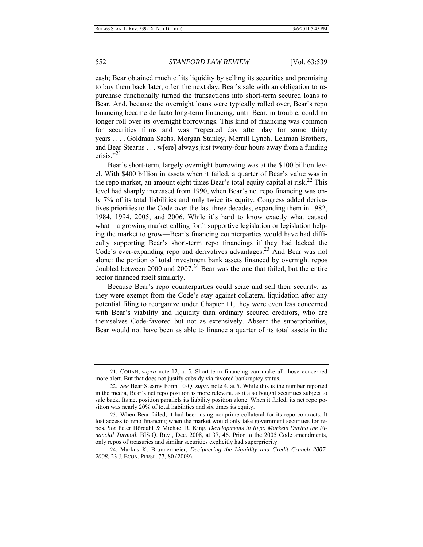cash; Bear obtained much of its liquidity by selling its securities and promising to buy them back later, often the next day. Bear's sale with an obligation to repurchase functionally turned the transactions into short-term secured loans to Bear. And, because the overnight loans were typically rolled over, Bear's repo financing became de facto long-term financing, until Bear, in trouble, could no longer roll over its overnight borrowings. This kind of financing was common for securities firms and was "repeated day after day for some thirty years . . . . Goldman Sachs, Morgan Stanley, Merrill Lynch, Lehman Brothers, and Bear Stearns . . . w[ere] always just twenty-four hours away from a funding crisis."21

Bear's short-term, largely overnight borrowing was at the \$100 billion level. With \$400 billion in assets when it failed, a quarter of Bear's value was in the repo market, an amount eight times Bear's total equity capital at risk.<sup>22</sup> This level had sharply increased from 1990, when Bear's net repo financing was only 7% of its total liabilities and only twice its equity. Congress added derivatives priorities to the Code over the last three decades, expanding them in 1982, 1984, 1994, 2005, and 2006. While it's hard to know exactly what caused what—a growing market calling forth supportive legislation or legislation helping the market to grow—Bear's financing counterparties would have had difficulty supporting Bear's short-term repo financings if they had lacked the Code's ever-expanding repo and derivatives advantages.23 And Bear was not alone: the portion of total investment bank assets financed by overnight repos doubled between 2000 and 2007.<sup>24</sup> Bear was the one that failed, but the entire sector financed itself similarly.

Because Bear's repo counterparties could seize and sell their security, as they were exempt from the Code's stay against collateral liquidation after any potential filing to reorganize under Chapter 11, they were even less concerned with Bear's viability and liquidity than ordinary secured creditors, who are themselves Code-favored but not as extensively. Absent the superpriorities, Bear would not have been as able to finance a quarter of its total assets in the

 <sup>21.</sup> COHAN, *supra* note 12, at 5. Short-term financing can make all those concerned more alert. But that does not justify subsidy via favored bankruptcy status.

 <sup>22.</sup> *See* Bear Stearns Form 10-Q, *supra* note 4, at 5. While this is the number reported in the media, Bear's net repo position is more relevant, as it also bought securities subject to sale back. Its net position parallels its liability position alone. When it failed, its net repo position was nearly 20% of total liabilities and six times its equity.

 <sup>23.</sup> When Bear failed, it had been using nonprime collateral for its repo contracts. It lost access to repo financing when the market would only take government securities for repos. *See* Peter Hördahl & Michael R. King, *Developments in Repo Markets During the Financial Turmoil*, BIS Q. REV., Dec. 2008, at 37, 46. Prior to the 2005 Code amendments, only repos of treasuries and similar securities explicitly had superpriority.

 <sup>24.</sup> Markus K. Brunnermeier, *Deciphering the Liquidity and Credit Crunch 2007- 2008*, 23 J. ECON. PERSP. 77, 80 (2009).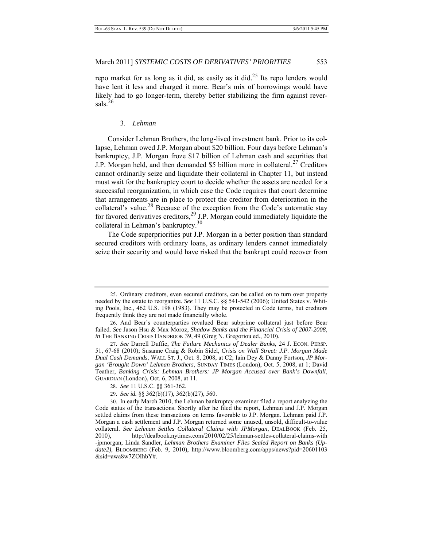repo market for as long as it did, as easily as it did.<sup>25</sup> Its repo lenders would have lent it less and charged it more. Bear's mix of borrowings would have likely had to go longer-term, thereby better stabilizing the firm against reversals.<sup>26</sup>

#### 3. *Lehman*

Consider Lehman Brothers, the long-lived investment bank. Prior to its collapse, Lehman owed J.P. Morgan about \$20 billion. Four days before Lehman's bankruptcy, J.P. Morgan froze \$17 billion of Lehman cash and securities that J.P. Morgan held, and then demanded \$5 billion more in collateral.<sup>27</sup> Creditors cannot ordinarily seize and liquidate their collateral in Chapter 11, but instead must wait for the bankruptcy court to decide whether the assets are needed for a successful reorganization, in which case the Code requires that court determine that arrangements are in place to protect the creditor from deterioration in the collateral's value.<sup>28</sup> Because of the exception from the Code's automatic stay for favored derivatives creditors,  $^{29}$  J.P. Morgan could immediately liquidate the collateral in Lehman's bankruptcy.30

The Code superpriorities put J.P. Morgan in a better position than standard secured creditors with ordinary loans, as ordinary lenders cannot immediately seize their security and would have risked that the bankrupt could recover from

 <sup>25.</sup> Ordinary creditors, even secured creditors, can be called on to turn over property needed by the estate to reorganize. *See* 11 U.S.C. §§ 541-542 (2006); United States v. Whiting Pools, Inc., 462 U.S. 198 (1983). They may be protected in Code terms, but creditors frequently think they are not made financially whole.

 <sup>26.</sup> And Bear's counterparties revalued Bear subprime collateral just before Bear failed. *See* Jason Hsu & Max Moroz, *Shadow Banks and the Financial Crisis of 2007-2008*, *in* THE BANKING CRISIS HANDBOOK 39, 49 (Greg N. Gregoriou ed., 2010).

 <sup>27.</sup> *See* Darrell Duffie, *The Failure Mechanics of Dealer Banks*, 24 J. ECON. PERSP. 51, 67-68 (2010); Susanne Craig & Robin Sidel, *Crisis on Wall Street: J.P. Morgan Made Dual Cash Demands*, WALL ST. J., Oct. 8, 2008, at C2; Iain Dey & Danny Fortson, *JP Morgan 'Brought Down' Lehman Brothers*, SUNDAY TIMES (London), Oct. 5, 2008, at 1; David Teather, *Banking Crisis: Lehman Brothers: JP Morgan Accused over Bank's Downfall*, GUARDIAN (London), Oct. 6, 2008, at 11.

 <sup>28.</sup> *See* 11 U.S.C. §§ 361-362.

 <sup>29.</sup> *See id.* §§ 362(b)(17), 362(b)(27), 560.

 <sup>30.</sup> In early March 2010, the Lehman bankruptcy examiner filed a report analyzing the Code status of the transactions. Shortly after he filed the report, Lehman and J.P. Morgan settled claims from these transactions on terms favorable to J.P. Morgan. Lehman paid J.P. Morgan a cash settlement and J.P. Morgan returned some unused, unsold, difficult-to-value collateral. *See Lehman Settles Collateral Claims with JPMorgan*, DEALBOOK (Feb. 25, 2010), http://dealbook.nytimes.com/2010/02/25/lehman-settles-collateral-claims-with -jpmorgan; Linda Sandler, *Lehman Brothers Examiner Files Sealed Report on Banks (Update2)*, BLOOMBERG (Feb. 9, 2010), http://www.bloomberg.com/apps/news?pid=20601103 &sid=awa8w7ZOIhbY#.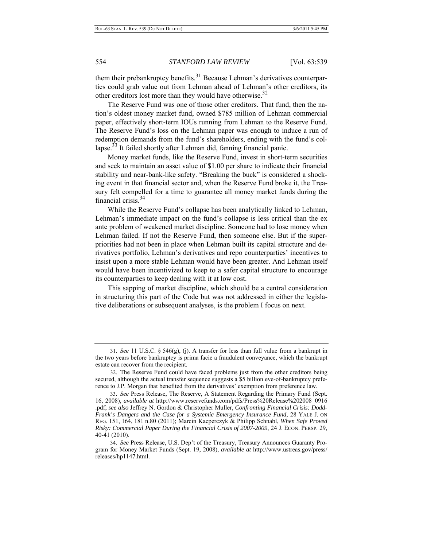them their prebankruptcy benefits.<sup>31</sup> Because Lehman's derivatives counterparties could grab value out from Lehman ahead of Lehman's other creditors, its other creditors lost more than they would have otherwise. $32$ 

The Reserve Fund was one of those other creditors. That fund, then the nation's oldest money market fund, owned \$785 million of Lehman commercial paper, effectively short-term IOUs running from Lehman to the Reserve Fund. The Reserve Fund's loss on the Lehman paper was enough to induce a run of redemption demands from the fund's shareholders, ending with the fund's collapse.<sup>33</sup> It failed shortly after Lehman did, fanning financial panic.

Money market funds, like the Reserve Fund, invest in short-term securities and seek to maintain an asset value of \$1.00 per share to indicate their financial stability and near-bank-like safety. "Breaking the buck" is considered a shocking event in that financial sector and, when the Reserve Fund broke it, the Treasury felt compelled for a time to guarantee all money market funds during the financial crisis.34

While the Reserve Fund's collapse has been analytically linked to Lehman, Lehman's immediate impact on the fund's collapse is less critical than the ex ante problem of weakened market discipline. Someone had to lose money when Lehman failed. If not the Reserve Fund, then someone else. But if the superpriorities had not been in place when Lehman built its capital structure and derivatives portfolio, Lehman's derivatives and repo counterparties' incentives to insist upon a more stable Lehman would have been greater. And Lehman itself would have been incentivized to keep to a safer capital structure to encourage its counterparties to keep dealing with it at low cost.

This sapping of market discipline, which should be a central consideration in structuring this part of the Code but was not addressed in either the legislative deliberations or subsequent analyses, is the problem I focus on next.

 <sup>31.</sup> *See* 11 U.S.C. § 546(g), (j). A transfer for less than full value from a bankrupt in the two years before bankruptcy is prima facie a fraudulent conveyance, which the bankrupt estate can recover from the recipient.

 <sup>32.</sup> The Reserve Fund could have faced problems just from the other creditors being secured, although the actual transfer sequence suggests a \$5 billion eve-of-bankruptcy preference to J.P. Morgan that benefited from the derivatives' exemption from preference law.

 <sup>33.</sup> *See* Press Release, The Reserve, A Statement Regarding the Primary Fund (Sept. 16, 2008), *available at* http://www.reservefunds.com/pdfs/Press%20Release%202008\_0916 .pdf; *see also* Jeffrey N. Gordon & Christopher Muller, *Confronting Financial Crisis: Dodd-Frank's Dangers and the Case for a Systemic Emergency Insurance Fund*, 28 YALE J. ON REG. 151, 164, 181 n.80 (2011); Marcin Kacperczyk & Philipp Schnabl, *When Safe Proved Risky: Commercial Paper During the Financial Crisis of 2007-2009*, 24 J. ECON. PERSP. 29, 40-41 (2010).

 <sup>34.</sup> *See* Press Release, U.S. Dep't of the Treasury, Treasury Announces Guaranty Program for Money Market Funds (Sept. 19, 2008), *available at* http://www.ustreas.gov/press/ releases/hp1147.html.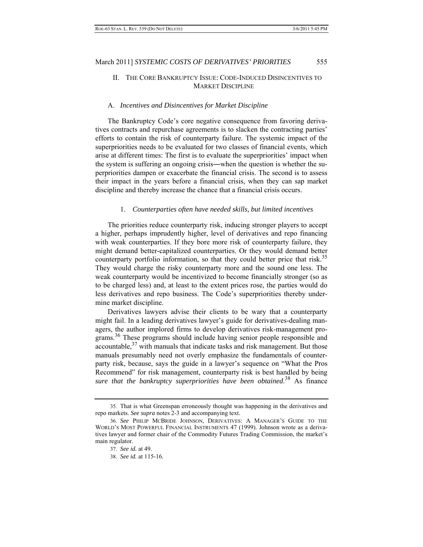# II. THE CORE BANKRUPTCY ISSUE: CODE-INDUCED DISINCENTIVES TO MARKET DISCIPLINE

#### A. *Incentives and Disincentives for Market Discipline*

The Bankruptcy Code's core negative consequence from favoring derivatives contracts and repurchase agreements is to slacken the contracting parties' efforts to contain the risk of counterparty failure. The systemic impact of the superpriorities needs to be evaluated for two classes of financial events, which arise at different times: The first is to evaluate the superpriorities' impact when the system is suffering an ongoing crisis―when the question is whether the superpriorities dampen or exacerbate the financial crisis. The second is to assess their impact in the years before a financial crisis, when they can sap market discipline and thereby increase the chance that a financial crisis occurs.

#### 1. *Counterparties often have needed skills, but limited incentives*

The priorities reduce counterparty risk, inducing stronger players to accept a higher, perhaps imprudently higher, level of derivatives and repo financing with weak counterparties. If they bore more risk of counterparty failure, they might demand better-capitalized counterparties. Or they would demand better counterparty portfolio information, so that they could better price that risk.<sup>35</sup> They would charge the risky counterparty more and the sound one less. The weak counterparty would be incentivized to become financially stronger (so as to be charged less) and, at least to the extent prices rose, the parties would do less derivatives and repo business. The Code's superpriorities thereby undermine market discipline.

Derivatives lawyers advise their clients to be wary that a counterparty might fail. In a leading derivatives lawyer's guide for derivatives-dealing managers, the author implored firms to develop derivatives risk-management programs.<sup>36</sup> These programs should include having senior people responsible and accountable,<sup>37</sup> with manuals that indicate tasks and risk management. But those manuals presumably need not overly emphasize the fundamentals of counterparty risk, because, says the guide in a lawyer's sequence on "What the Pros Recommend" for risk management, counterparty risk is best handled by being *sure that the bankruptcy superpriorities have been obtained*. 38 As finance

 <sup>35.</sup> That is what Greenspan erroneously thought was happening in the derivatives and repo markets. *See supra* notes 2-3 and accompanying text.

 <sup>36.</sup> *See* PHILIP MCBRIDE JOHNSON, DERIVATIVES: A MANAGER'S GUIDE TO THE WORLD'S MOST POWERFUL FINANCIAL INSTRUMENTS 47 (1999). Johnson wrote as a derivatives lawyer and former chair of the Commodity Futures Trading Commission, the market's main regulator.

 <sup>37.</sup> *See id.* at 49.

 <sup>38.</sup> *See id.* at 115-16.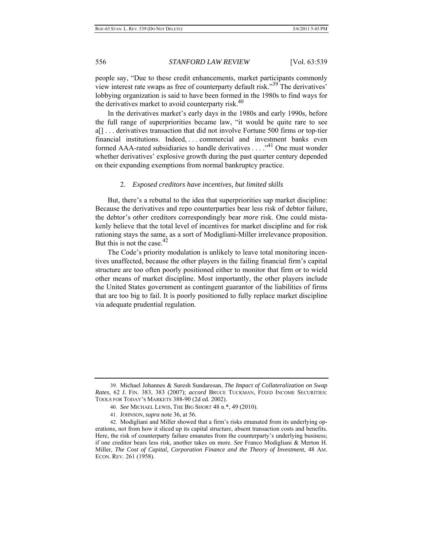people say, "Due to these credit enhancements, market participants commonly view interest rate swaps as free of counterparty default risk."39 The derivatives' lobbying organization is said to have been formed in the 1980s to find ways for the derivatives market to avoid counterparty risk. $40$ 

In the derivatives market's early days in the 1980s and early 1990s, before the full range of superpriorities became law, "it would be quite rare to see a[] . . . derivatives transaction that did not involve Fortune 500 firms or top-tier financial institutions. Indeed, . . . commercial and investment banks even formed AAA-rated subsidiaries to handle derivatives  $\dots$ <sup>41</sup> One must wonder whether derivatives' explosive growth during the past quarter century depended on their expanding exemptions from normal bankruptcy practice.

#### 2. *Exposed creditors have incentives, but limited skills*

 But, there's a rebuttal to the idea that superpriorities sap market discipline: Because the derivatives and repo counterparties bear less risk of debtor failure, the debtor's *other* creditors correspondingly bear *more* risk. One could mistakenly believe that the total level of incentives for market discipline and for risk rationing stays the same, as a sort of Modigliani-Miller irrelevance proposition. But this is not the case. $42$ 

The Code's priority modulation is unlikely to leave total monitoring incentives unaffected, because the other players in the failing financial firm's capital structure are too often poorly positioned either to monitor that firm or to wield other means of market discipline. Most importantly, the other players include the United States government as contingent guarantor of the liabilities of firms that are too big to fail. It is poorly positioned to fully replace market discipline via adequate prudential regulation.

 <sup>39.</sup> Michael Johannes & Suresh Sundaresan, *The Impact of Collateralization on Swap Rates*, 62 J. FIN. 383, 383 (2007); *accord* BRUCE TUCKMAN, FIXED INCOME SECURITIES: TOOLS FOR TODAY'S MARKETS 388-90 (2d ed. 2002).

 <sup>40.</sup> *See* MICHAEL LEWIS, THE BIG SHORT 48 n.\*, 49 (2010).

 <sup>41.</sup> JOHNSON, *supra* note 36, at 56.

 <sup>42.</sup> Modigliani and Miller showed that a firm's risks emanated from its underlying operations, not from how it sliced up its capital structure, absent transaction costs and benefits. Here, the risk of counterparty failure emanates from the counterparty's underlying business; if one creditor bears less risk, another takes on more. *See* Franco Modigliani & Merton H. Miller, *The Cost of Capital, Corporation Finance and the Theory of Investment*, 48 AM. ECON. REV. 261 (1958).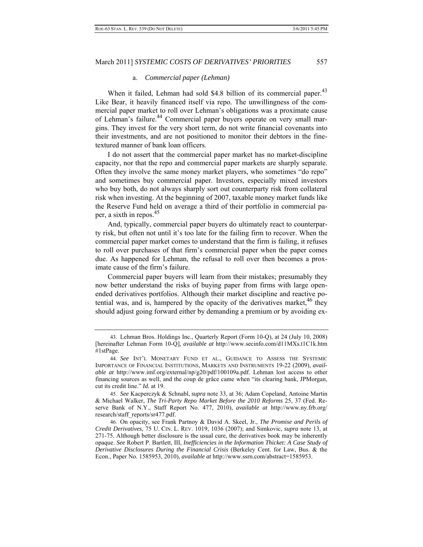#### a. *Commercial paper (Lehman)*

When it failed, Lehman had sold \$4.8 billion of its commercial paper.<sup>43</sup> Like Bear, it heavily financed itself via repo. The unwillingness of the commercial paper market to roll over Lehman's obligations was a proximate cause of Lehman's failure.<sup>44</sup> Commercial paper buyers operate on very small margins. They invest for the very short term, do not write financial covenants into their investments, and are not positioned to monitor their debtors in the finetextured manner of bank loan officers.

I do not assert that the commercial paper market has no market-discipline capacity, nor that the repo and commercial paper markets are sharply separate. Often they involve the same money market players, who sometimes "do repo" and sometimes buy commercial paper. Investors, especially mixed investors who buy both, do not always sharply sort out counterparty risk from collateral risk when investing. At the beginning of 2007, taxable money market funds like the Reserve Fund held on average a third of their portfolio in commercial paper, a sixth in repos.45

And, typically, commercial paper buyers do ultimately react to counterparty risk, but often not until it's too late for the failing firm to recover. When the commercial paper market comes to understand that the firm is failing, it refuses to roll over purchases of that firm's commercial paper when the paper comes due. As happened for Lehman, the refusal to roll over then becomes a proximate cause of the firm's failure.

Commercial paper buyers will learn from their mistakes; presumably they now better understand the risks of buying paper from firms with large openended derivatives portfolios. Although their market discipline and reactive potential was, and is, hampered by the opacity of the derivatives market,  $46$  they should adjust going forward either by demanding a premium or by avoiding ex-

 <sup>43.</sup> Lehman Bros. Holdings Inc., Quarterly Report (Form 10-Q), at 24 (July 10, 2008) [hereinafter Lehman Form 10-Q], *available at* http://www.secinfo.com/d11MXs.t1C1k.htm #1stPage.

 <sup>44.</sup> *See* INT'L MONETARY FUND ET AL., GUIDANCE TO ASSESS THE SYSTEMIC IMPORTANCE OF FINANCIAL INSTITUTIONS, MARKETS AND INSTRUMENTS 19-22 (2009), *available at* http://www.imf.org/external/np/g20/pdf/100109a.pdf. Lehman lost access to other financing sources as well, and the coup de grâce came when "its clearing bank, JPMorgan, cut its credit line." *Id.* at 19.

 <sup>45.</sup> *See* Kacperczyk & Schnabl, *supra* note 33, at 36; Adam Copeland, Antoine Martin & Michael Walker, *The Tri-Party Repo Market Before the 2010 Reforms* 25, 37 (Fed. Reserve Bank of N.Y., Staff Report No. 477, 2010), *available at* http://www.ny.frb.org/ research/staff\_reports/sr477.pdf.

 <sup>46.</sup> On opacity, see Frank Partnoy & David A. Skeel, Jr., *The Promise and Perils of Credit Derivatives*, 75 U. CIN. L. REV. 1019, 1036 (2007); and Simkovic, *supra* note 13, at 271-75. Although better disclosure is the usual cure, the derivatives book may be inherently opaque. *See* Robert P. Bartlett, III, *Inefficiencies in the Information Thicket: A Case Study of Derivative Disclosures During the Financial Crisis* (Berkeley Cent. for Law, Bus. & the Econ., Paper No. 1585953, 2010), *available at* http://www.ssrn.com/abstract=1585953.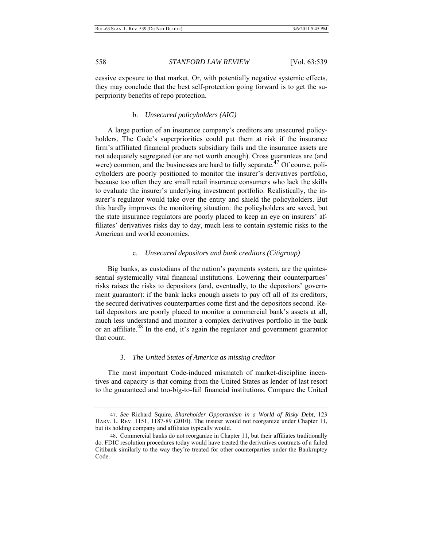cessive exposure to that market. Or, with potentially negative systemic effects, they may conclude that the best self-protection going forward is to get the superpriority benefits of repo protection.

# b. *Unsecured policyholders (AIG)*

A large portion of an insurance company's creditors are unsecured policyholders. The Code's superpriorities could put them at risk if the insurance firm's affiliated financial products subsidiary fails and the insurance assets are not adequately segregated (or are not worth enough). Cross guarantees are (and were) common, and the businesses are hard to fully separate.<sup> $47$ </sup> Of course, policyholders are poorly positioned to monitor the insurer's derivatives portfolio, because too often they are small retail insurance consumers who lack the skills to evaluate the insurer's underlying investment portfolio. Realistically, the insurer's regulator would take over the entity and shield the policyholders. But this hardly improves the monitoring situation: the policyholders are saved, but the state insurance regulators are poorly placed to keep an eye on insurers' affiliates' derivatives risks day to day, much less to contain systemic risks to the American and world economies.

#### c. *Unsecured depositors and bank creditors (Citigroup)*

Big banks, as custodians of the nation's payments system, are the quintessential systemically vital financial institutions. Lowering their counterparties' risks raises the risks to depositors (and, eventually, to the depositors' government guarantor): if the bank lacks enough assets to pay off all of its creditors, the secured derivatives counterparties come first and the depositors second. Retail depositors are poorly placed to monitor a commercial bank's assets at all, much less understand and monitor a complex derivatives portfolio in the bank or an affiliate.<sup>48</sup> In the end, it's again the regulator and government guarantor that count.

#### 3. *The United States of America as missing creditor*

The most important Code-induced mismatch of market-discipline incentives and capacity is that coming from the United States as lender of last resort to the guaranteed and too-big-to-fail financial institutions. Compare the United

 <sup>47.</sup> *See* Richard Squire, *Shareholder Opportunism in a World of Risky Debt*, 123 HARV. L. REV. 1151, 1187-89 (2010). The insurer would not reorganize under Chapter 11, but its holding company and affiliates typically would.

 <sup>48.</sup> Commercial banks do not reorganize in Chapter 11, but their affiliates traditionally do. FDIC resolution procedures today would have treated the derivatives contracts of a failed Citibank similarly to the way they're treated for other counterparties under the Bankruptcy Code.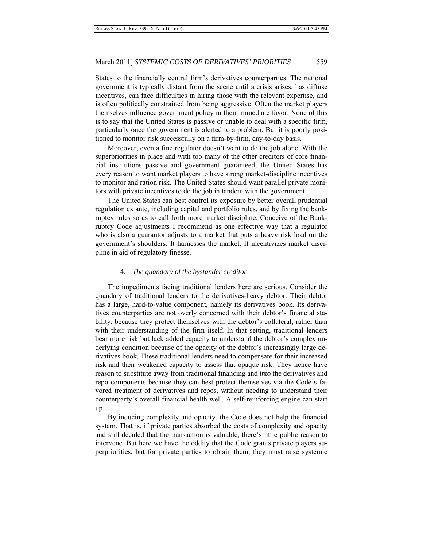States to the financially central firm's derivatives counterparties. The national government is typically distant from the scene until a crisis arises, has diffuse incentives, can face difficulties in hiring those with the relevant expertise, and is often politically constrained from being aggressive. Often the market players themselves influence government policy in their immediate favor. None of this is to say that the United States is passive or unable to deal with a specific firm, particularly once the government is alerted to a problem. But it is poorly positioned to monitor risk successfully on a firm-by-firm, day-to-day basis.

Moreover, even a fine regulator doesn't want to do the job alone. With the superpriorities in place and with too many of the other creditors of core financial institutions passive and government guaranteed, the United States has every reason to want market players to have strong market-discipline incentives to monitor and ration risk. The United States should want parallel private monitors with private incentives to do the job in tandem with the government.

The United States can best control its exposure by better overall prudential regulation ex ante, including capital and portfolio rules, and by fixing the bankruptcy rules so as to call forth more market discipline. Conceive of the Bankruptcy Code adjustments I recommend as one effective way that a regulator who is also a guarantor adjusts to a market that puts a heavy risk load on the government's shoulders. It harnesses the market. It incentivizes market discipline in aid of regulatory finesse.

#### 4. *The quandary of the bystander creditor*

The impediments facing traditional lenders here are serious. Consider the quandary of traditional lenders to the derivatives-heavy debtor. Their debtor has a large, hard-to-value component, namely its derivatives book. Its derivatives counterparties are not overly concerned with their debtor's financial stability, because they protect themselves with the debtor's collateral, rather than with their understanding of the firm itself. In that setting, traditional lenders bear more risk but lack added capacity to understand the debtor's complex underlying condition because of the opacity of the debtor's increasingly large derivatives book. These traditional lenders need to compensate for their increased risk and their weakened capacity to assess that opaque risk. They hence have reason to substitute away from traditional financing and *into* the derivatives and repo components because they can best protect themselves via the Code's favored treatment of derivatives and repos, without needing to understand their counterparty's overall financial health well. A self-reinforcing engine can start up.

By inducing complexity and opacity, the Code does not help the financial system. That is, if private parties absorbed the costs of complexity and opacity and still decided that the transaction is valuable, there's little public reason to intervene. But here we have the oddity that the Code grants private players superpriorities, but for private parties to obtain them, they must raise systemic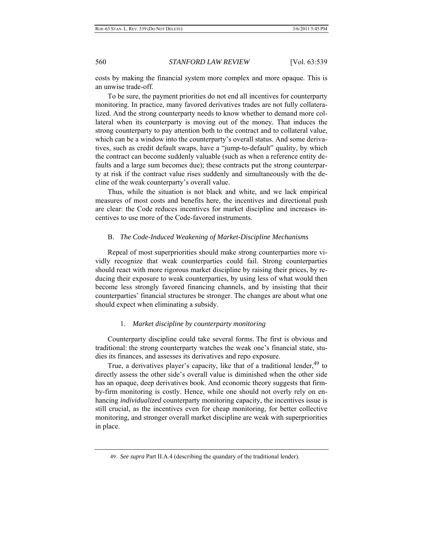costs by making the financial system more complex and more opaque. This is an unwise trade-off.

To be sure, the payment priorities do not end all incentives for counterparty monitoring. In practice, many favored derivatives trades are not fully collateralized. And the strong counterparty needs to know whether to demand more collateral when its counterparty is moving out of the money. That induces the strong counterparty to pay attention both to the contract and to collateral value, which can be a window into the counterparty's overall status. And some derivatives, such as credit default swaps, have a "jump-to-default" quality, by which the contract can become suddenly valuable (such as when a reference entity defaults and a large sum becomes due); these contracts put the strong counterparty at risk if the contract value rises suddenly and simultaneously with the decline of the weak counterparty's overall value.

Thus, while the situation is not black and white, and we lack empirical measures of most costs and benefits here, the incentives and directional push are clear: the Code reduces incentives for market discipline and increases incentives to use more of the Code-favored instruments.

#### B. *The Code-Induced Weakening of Market-Discipline Mechanisms*

Repeal of most superpriorities should make strong counterparties more vividly recognize that weak counterparties could fail. Strong counterparties should react with more rigorous market discipline by raising their prices, by reducing their exposure to weak counterparties, by using less of what would then become less strongly favored financing channels, and by insisting that their counterparties' financial structures be stronger. The changes are about what one should expect when eliminating a subsidy.

#### 1. *Market discipline by counterparty monitoring*

Counterparty discipline could take several forms. The first is obvious and traditional: the strong counterparty watches the weak one's financial state, studies its finances, and assesses its derivatives and repo exposure.

True, a derivatives player's capacity, like that of a traditional lender,  $49$  to directly assess the other side's overall value is diminished when the other side has an opaque, deep derivatives book. And economic theory suggests that firmby-firm monitoring is costly. Hence, while one should not overly rely on enhancing *individualized* counterparty monitoring capacity, the incentives issue is still crucial, as the incentives even for cheap monitoring, for better collective monitoring, and stronger overall market discipline are weak with superpriorities in place.

 <sup>49.</sup> *See supra* Part II.A.4 (describing the quandary of the traditional lender).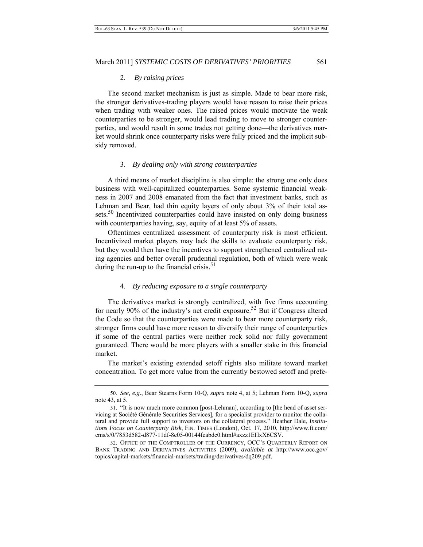#### 2. *By raising prices*

The second market mechanism is just as simple. Made to bear more risk, the stronger derivatives-trading players would have reason to raise their prices when trading with weaker ones. The raised prices would motivate the weak counterparties to be stronger, would lead trading to move to stronger counterparties, and would result in some trades not getting done—the derivatives market would shrink once counterparty risks were fully priced and the implicit subsidy removed.

#### 3. *By dealing only with strong counterparties*

A third means of market discipline is also simple: the strong one only does business with well-capitalized counterparties. Some systemic financial weakness in 2007 and 2008 emanated from the fact that investment banks, such as Lehman and Bear, had thin equity layers of only about 3% of their total assets.<sup>50</sup> Incentivized counterparties could have insisted on only doing business with counterparties having, say, equity of at least 5% of assets.

Oftentimes centralized assessment of counterparty risk is most efficient. Incentivized market players may lack the skills to evaluate counterparty risk, but they would then have the incentives to support strengthened centralized rating agencies and better overall prudential regulation, both of which were weak during the run-up to the financial crisis. $51$ 

#### 4. *By reducing exposure to a single counterparty*

The derivatives market is strongly centralized, with five firms accounting for nearly 90% of the industry's net credit exposure.<sup>52</sup> But if Congress altered the Code so that the counterparties were made to bear more counterparty risk, stronger firms could have more reason to diversify their range of counterparties if some of the central parties were neither rock solid nor fully government guaranteed. There would be more players with a smaller stake in this financial market.

The market's existing extended setoff rights also militate toward market concentration. To get more value from the currently bestowed setoff and prefe-

 <sup>50.</sup> *See, e.g.*, Bear Stearns Form 10-Q, *supra* note 4, at 5; Lehman Form 10-Q, *supra*  note 43, at 5.

 <sup>51. &</sup>quot;It is now much more common [post-Lehman], according to [the head of asset servicing at Société Générale Securities Services], for a specialist provider to monitor the collateral and provide full support to investors on the collateral process." Heather Dale, *Institutions Focus on Counterparty Risk*, FIN. TIMES (London), Oct. 17, 2010, http://www.ft.com/ cms/s/0/7853d582-d877-11df-8e05-00144feabdc0.html#axzz1EHxX6CSV.

 <sup>52.</sup> OFFICE OF THE COMPTROLLER OF THE CURRENCY, OCC'S QUARTERLY REPORT ON BANK TRADING AND DERIVATIVES ACTIVITIES (2009), *available at* http://www.occ.gov/ topics/capital-markets/financial-markets/trading/derivatives/dq209.pdf.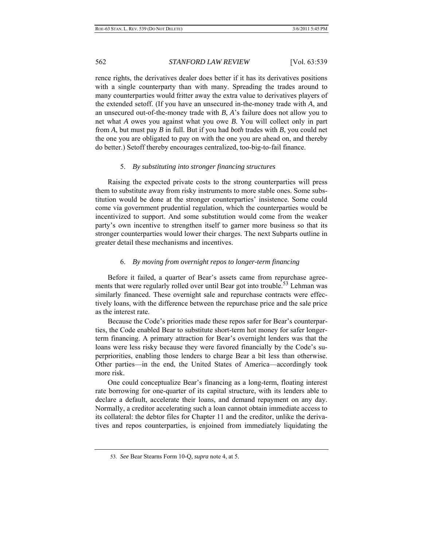rence rights, the derivatives dealer does better if it has its derivatives positions with a single counterparty than with many. Spreading the trades around to many counterparties would fritter away the extra value to derivatives players of the extended setoff. (If you have an unsecured in-the-money trade with *A*, and an unsecured out-of-the-money trade with *B*, *A*'s failure does not allow you to net what *A* owes you against what you owe *B*. You will collect only in part from *A*, but must pay *B* in full. But if you had *both* trades with *B*, you could net the one you are obligated to pay on with the one you are ahead on, and thereby do better.) Setoff thereby encourages centralized, too-big-to-fail finance.

# 5. *By substituting into stronger financing structures*

Raising the expected private costs to the strong counterparties will press them to substitute away from risky instruments to more stable ones. Some substitution would be done at the stronger counterparties' insistence. Some could come via government prudential regulation, which the counterparties would be incentivized to support. And some substitution would come from the weaker party's own incentive to strengthen itself to garner more business so that its stronger counterparties would lower their charges. The next Subparts outline in greater detail these mechanisms and incentives.

# 6. *By moving from overnight repos to longer-term financing*

Before it failed, a quarter of Bear's assets came from repurchase agreements that were regularly rolled over until Bear got into trouble.<sup>53</sup> Lehman was similarly financed. These overnight sale and repurchase contracts were effectively loans, with the difference between the repurchase price and the sale price as the interest rate.

Because the Code's priorities made these repos safer for Bear's counterparties, the Code enabled Bear to substitute short-term hot money for safer longerterm financing. A primary attraction for Bear's overnight lenders was that the loans were less risky because they were favored financially by the Code's superpriorities, enabling those lenders to charge Bear a bit less than otherwise. Other parties—in the end, the United States of America—accordingly took more risk.

One could conceptualize Bear's financing as a long-term, floating interest rate borrowing for one-quarter of its capital structure, with its lenders able to declare a default, accelerate their loans, and demand repayment on any day. Normally, a creditor accelerating such a loan cannot obtain immediate access to its collateral: the debtor files for Chapter 11 and the creditor, unlike the derivatives and repos counterparties, is enjoined from immediately liquidating the

 <sup>53.</sup> *See* Bear Stearns Form 10-Q, *supra* note 4, at 5.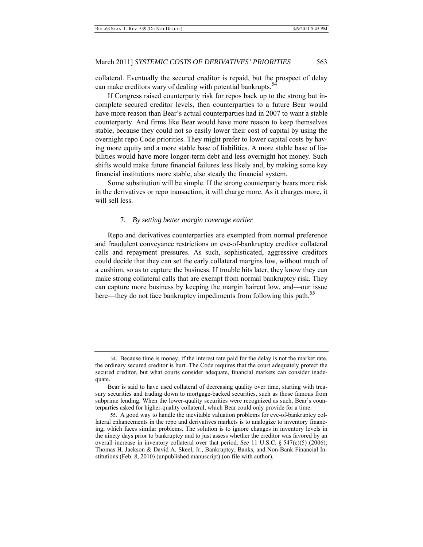collateral. Eventually the secured creditor is repaid, but the prospect of delay can make creditors wary of dealing with potential bankrupts.<sup>54</sup>

If Congress raised counterparty risk for repos back up to the strong but incomplete secured creditor levels, then counterparties to a future Bear would have more reason than Bear's actual counterparties had in 2007 to want a stable counterparty. And firms like Bear would have more reason to keep themselves stable, because they could not so easily lower their cost of capital by using the overnight repo Code priorities. They might prefer to lower capital costs by having more equity and a more stable base of liabilities. A more stable base of liabilities would have more longer-term debt and less overnight hot money. Such shifts would make future financial failures less likely and, by making some key financial institutions more stable, also steady the financial system.

Some substitution will be simple. If the strong counterparty bears more risk in the derivatives or repo transaction, it will charge more. As it charges more, it will sell less.

# 7. *By setting better margin coverage earlier*

Repo and derivatives counterparties are exempted from normal preference and fraudulent conveyance restrictions on eve-of-bankruptcy creditor collateral calls and repayment pressures. As such, sophisticated, aggressive creditors could decide that they can set the early collateral margins low, without much of a cushion, so as to capture the business. If trouble hits later, they know they can make strong collateral calls that are exempt from normal bankruptcy risk. They can capture more business by keeping the margin haircut low, and—our issue here—they do not face bankruptcy impediments from following this path.<sup>55</sup>

 <sup>54.</sup> Because time is money, if the interest rate paid for the delay is not the market rate, the ordinary secured creditor is hurt. The Code requires that the court adequately protect the secured creditor, but what courts consider adequate, financial markets can consider inadequate.

Bear is said to have used collateral of decreasing quality over time, starting with treasury securities and trading down to mortgage-backed securities, such as those famous from subprime lending. When the lower-quality securities were recognized as such, Bear's counterparties asked for higher-quality collateral, which Bear could only provide for a time.

 <sup>55.</sup> A good way to handle the inevitable valuation problems for eve-of-bankruptcy collateral enhancements in the repo and derivatives markets is to analogize to inventory financing, which faces similar problems. The solution is to ignore changes in inventory levels in the ninety days prior to bankruptcy and to just assess whether the creditor was favored by an overall increase in inventory collateral over that period. *See* 11 U.S.C. § 547(c)(5) (2006); Thomas H. Jackson & David A. Skeel, Jr., Bankruptcy, Banks, and Non-Bank Financial Institutions (Feb. 8, 2010) (unpublished manuscript) (on file with author).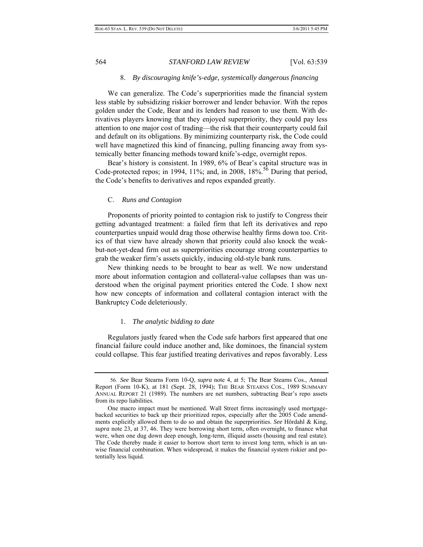#### 8. *By discouraging knife's-edge, systemically dangerous financing*

We can generalize. The Code's superpriorities made the financial system less stable by subsidizing riskier borrower and lender behavior. With the repos golden under the Code, Bear and its lenders had reason to use them. With derivatives players knowing that they enjoyed superpriority, they could pay less attention to one major cost of trading—the risk that their counterparty could fail and default on its obligations. By minimizing counterparty risk, the Code could well have magnetized this kind of financing, pulling financing away from systemically better financing methods toward knife's-edge, overnight repos.

Bear's history is consistent. In 1989, 6% of Bear's capital structure was in Code-protected repos; in 1994, 11%; and, in 2008,  $18\%$ .<sup>56</sup> During that period, the Code's benefits to derivatives and repos expanded greatly.

### C. *Runs and Contagion*

Proponents of priority pointed to contagion risk to justify to Congress their getting advantaged treatment: a failed firm that left its derivatives and repo counterparties unpaid would drag those otherwise healthy firms down too. Critics of that view have already shown that priority could also knock the weakbut-not-yet-dead firm out as superpriorities encourage strong counterparties to grab the weaker firm's assets quickly, inducing old-style bank runs.

New thinking needs to be brought to bear as well. We now understand more about information contagion and collateral-value collapses than was understood when the original payment priorities entered the Code. I show next how new concepts of information and collateral contagion interact with the Bankruptcy Code deleteriously.

### 1. *The analytic bidding to date*

Regulators justly feared when the Code safe harbors first appeared that one financial failure could induce another and, like dominoes, the financial system could collapse. This fear justified treating derivatives and repos favorably. Less

 <sup>56.</sup> *See* Bear Stearns Form 10-Q, *supra* note 4, at 5; The Bear Stearns Cos., Annual Report (Form 10-K), at 181 (Sept. 28, 1994); THE BEAR STEARNS COS., 1989 SUMMARY ANNUAL REPORT 21 (1989). The numbers are net numbers, subtracting Bear's repo assets from its repo liabilities.

One macro impact must be mentioned. Wall Street firms increasingly used mortgagebacked securities to back up their prioritized repos, especially after the 2005 Code amendments explicitly allowed them to do so and obtain the superpriorities. *See* Hördahl & King, *supra* note 23, at 37, 46. They were borrowing short term, often overnight, to finance what were, when one dug down deep enough, long-term, illiquid assets (housing and real estate). The Code thereby made it easier to borrow short term to invest long term, which is an unwise financial combination. When widespread, it makes the financial system riskier and potentially less liquid.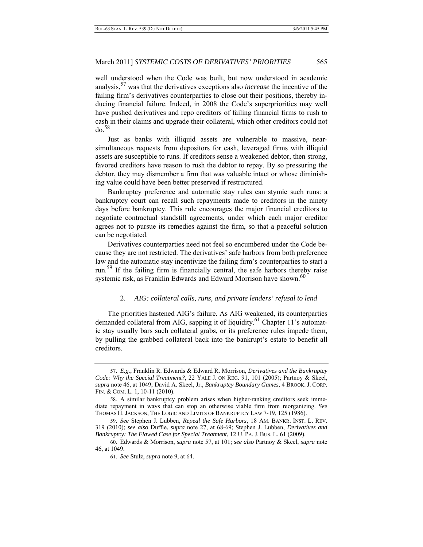well understood when the Code was built, but now understood in academic analysis,57 was that the derivatives exceptions also *increase* the incentive of the failing firm's derivatives counterparties to close out their positions, thereby inducing financial failure. Indeed, in 2008 the Code's superpriorities may well have pushed derivatives and repo creditors of failing financial firms to rush to cash in their claims and upgrade their collateral, which other creditors could not  $d\rho$ .<sup>58</sup>

Just as banks with illiquid assets are vulnerable to massive, nearsimultaneous requests from depositors for cash, leveraged firms with illiquid assets are susceptible to runs. If creditors sense a weakened debtor, then strong, favored creditors have reason to rush the debtor to repay. By so pressuring the debtor, they may dismember a firm that was valuable intact or whose diminishing value could have been better preserved if restructured.

Bankruptcy preference and automatic stay rules can stymie such runs: a bankruptcy court can recall such repayments made to creditors in the ninety days before bankruptcy. This rule encourages the major financial creditors to negotiate contractual standstill agreements, under which each major creditor agrees not to pursue its remedies against the firm, so that a peaceful solution can be negotiated.

Derivatives counterparties need not feel so encumbered under the Code because they are not restricted. The derivatives' safe harbors from both preference law and the automatic stay incentivize the failing firm's counterparties to start a run.59 If the failing firm is financially central, the safe harbors thereby raise systemic risk, as Franklin Edwards and Edward Morrison have shown.<sup>60</sup>

#### 2. *AIG: collateral calls, runs, and private lenders' refusal to lend*

The priorities hastened AIG's failure. As AIG weakened, its counterparties demanded collateral from AIG, sapping it of liquidity.<sup>61</sup> Chapter 11's automatic stay usually bars such collateral grabs, or its preference rules impede them, by pulling the grabbed collateral back into the bankrupt's estate to benefit all creditors.

 <sup>57.</sup> *E.g.*, Franklin R. Edwards & Edward R. Morrison, *Derivatives and the Bankruptcy Code: Why the Special Treatment?*, 22 YALE J. ON REG. 91, 101 (2005); Partnoy & Skeel, *supra* note 46, at 1049; David A. Skeel, Jr., *Bankruptcy Boundary Games*, 4 BROOK. J. CORP. FIN. & COM. L. 1, 10-11 (2010).

 <sup>58.</sup> A similar bankruptcy problem arises when higher-ranking creditors seek immediate repayment in ways that can stop an otherwise viable firm from reorganizing. *See*  THOMAS H. JACKSON, THE LOGIC AND LIMITS OF BANKRUPTCY LAW 7-19, 125 (1986).

 <sup>59.</sup> *See* Stephen J. Lubben, *Repeal the Safe Harbors*, 18 AM. BANKR. INST. L. REV. 319 (2010); *see also* Duffie, *supra* note 27, at 68-69; Stephen J. Lubben, *Derivatives and Bankruptcy: The Flawed Case for Special Treatment*, 12 U. PA. J. BUS. L. 61 (2009).

 <sup>60.</sup> Edwards & Morrison, *supra* note 57, at 101; *see also* Partnoy & Skeel, *supra* note 46, at 1049.

 <sup>61.</sup> *See* Stulz, *supra* note 9, at 64.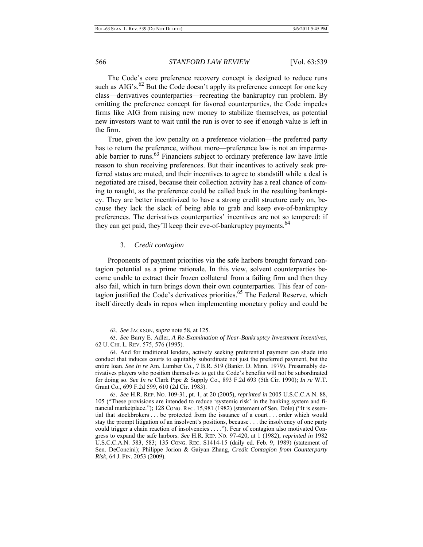The Code's core preference recovery concept is designed to reduce runs such as AIG's.<sup>62</sup> But the Code doesn't apply its preference concept for one key class—derivatives counterparties—recreating the bankruptcy run problem. By omitting the preference concept for favored counterparties, the Code impedes firms like AIG from raising new money to stabilize themselves, as potential new investors want to wait until the run is over to see if enough value is left in the firm.

True, given the low penalty on a preference violation—the preferred party has to return the preference, without more—preference law is not an impermeable barrier to runs.<sup>63</sup> Financiers subject to ordinary preference law have little reason to shun receiving preferences. But their incentives to actively seek preferred status are muted, and their incentives to agree to standstill while a deal is negotiated are raised, because their collection activity has a real chance of coming to naught, as the preference could be called back in the resulting bankruptcy. They are better incentivized to have a strong credit structure early on, because they lack the slack of being able to grab and keep eve-of-bankruptcy preferences. The derivatives counterparties' incentives are not so tempered: if they can get paid, they'll keep their eve-of-bankruptcy payments.<sup>64</sup>

### 3. *Credit contagion*

Proponents of payment priorities via the safe harbors brought forward contagion potential as a prime rationale. In this view, solvent counterparties become unable to extract their frozen collateral from a failing firm and then they also fail, which in turn brings down their own counterparties. This fear of contagion justified the Code's derivatives priorities.<sup>65</sup> The Federal Reserve, which itself directly deals in repos when implementing monetary policy and could be

 <sup>62.</sup> *See* JACKSON, *supra* note 58, at 125.

 <sup>63.</sup> *See* Barry E. Adler, *A Re-Examination of Near-Bankruptcy Investment Incentives*, 62 U. CHI. L. REV. 575, 576 (1995).

 <sup>64.</sup> And for traditional lenders, actively seeking preferential payment can shade into conduct that induces courts to equitably subordinate not just the preferred payment, but the entire loan. *See In re* Am. Lumber Co., 7 B.R. 519 (Bankr. D. Minn. 1979). Presumably derivatives players who position themselves to get the Code's benefits will not be subordinated for doing so. *See In re* Clark Pipe & Supply Co., 893 F.2d 693 (5th Cir. 1990); *In re* W.T. Grant Co., 699 F.2d 599, 610 (2d Cir. 1983).

 <sup>65.</sup> *See* H.R. REP. NO. 109-31, pt. 1, at 20 (2005), *reprinted in* 2005 U.S.C.C.A.N. 88, 105 ("These provisions are intended to reduce 'systemic risk' in the banking system and financial marketplace."); 128 CONG. REC. 15,981 (1982) (statement of Sen. Dole) ("It is essential that stockbrokers . . . be protected from the issuance of a court . . . order which would stay the prompt litigation of an insolvent's positions, because . . . the insolvency of one party could trigger a chain reaction of insolvencies . . . ."). Fear of contagion also motivated Congress to expand the safe harbors. *See* H.R. REP. NO. 97-420, at 1 (1982), *reprinted in* 1982 U.S.C.C.A.N. 583, 583; 135 CONG. REC. S1414-15 (daily ed. Feb. 9, 1989) (statement of Sen. DeConcini); Philippe Jorion & Gaiyan Zhang, *Credit Contagion from Counterparty Risk*, 64 J. FIN. 2053 (2009).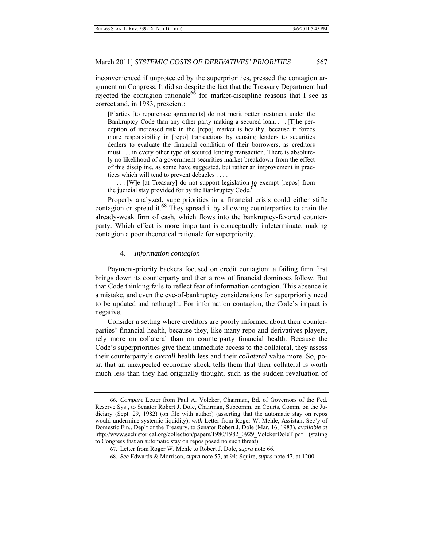inconvenienced if unprotected by the superpriorities, pressed the contagion argument on Congress. It did so despite the fact that the Treasury Department had rejected the contagion rationale<sup>66</sup> for market-discipline reasons that I see as correct and, in 1983, prescient:

[P]arties [to repurchase agreements] do not merit better treatment under the Bankruptcy Code than any other party making a secured loan. . . . [T]he perception of increased risk in the [repo] market is healthy, because it forces more responsibility in [repo] transactions by causing lenders to securities dealers to evaluate the financial condition of their borrowers, as creditors must . . . in every other type of secured lending transaction. There is absolutely no likelihood of a government securities market breakdown from the effect of this discipline, as some have suggested, but rather an improvement in practices which will tend to prevent debacles . . . .

 . . . [W]e [at Treasury] do not support legislation to exempt [repos] from the judicial stay provided for by the Bankruptcy Code.<sup>6</sup>

Properly analyzed, superpriorities in a financial crisis could either stifle contagion or spread it.<sup>68</sup> They spread it by allowing counterparties to drain the already-weak firm of cash, which flows into the bankruptcy-favored counterparty. Which effect is more important is conceptually indeterminate, making contagion a poor theoretical rationale for superpriority.

#### 4. *Information contagion*

 Payment-priority backers focused on credit contagion: a failing firm first brings down its counterparty and then a row of financial dominoes follow. But that Code thinking fails to reflect fear of information contagion. This absence is a mistake, and even the eve-of-bankruptcy considerations for superpriority need to be updated and rethought. For information contagion, the Code's impact is negative.

Consider a setting where creditors are poorly informed about their counterparties' financial health, because they, like many repo and derivatives players, rely more on collateral than on counterparty financial health. Because the Code's superpriorities give them immediate access to the collateral, they assess their counterparty's *overall* health less and their *collateral* value more. So, posit that an unexpected economic shock tells them that their collateral is worth much less than they had originally thought, such as the sudden revaluation of

68. *See* Edwards & Morrison, *supra* note 57, at 94; Squire, *supra* note 47, at 1200.

 <sup>66.</sup> *Compare* Letter from Paul A. Volcker, Chairman, Bd. of Governors of the Fed. Reserve Sys., to Senator Robert J. Dole, Chairman, Subcomm. on Courts, Comm. on the Judiciary (Sept. 29, 1982) (on file with author) (asserting that the automatic stay on repos would undermine systemic liquidity), *with* Letter from Roger W. Mehle, Assistant Sec'y of Domestic Fin., Dep't of the Treasury, to Senator Robert J. Dole (Mar. 16, 1983), *available at* http://www.sechistorical.org/collection/papers/1980/1982\_0929\_VolckerDoleT.pdf (stating to Congress that an automatic stay on repos posed no such threat).

 <sup>67.</sup> Letter from Roger W. Mehle to Robert J. Dole, *supra* note 66.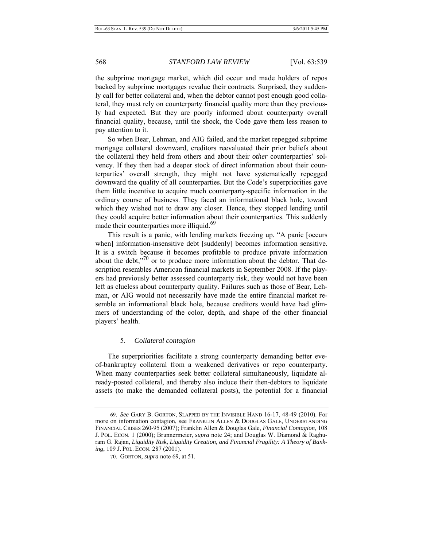the subprime mortgage market, which did occur and made holders of repos backed by subprime mortgages revalue their contracts. Surprised, they suddenly call for better collateral and, when the debtor cannot post enough good collateral, they must rely on counterparty financial quality more than they previously had expected. But they are poorly informed about counterparty overall financial quality, because, until the shock, the Code gave them less reason to pay attention to it.

So when Bear, Lehman, and AIG failed, and the market repegged subprime mortgage collateral downward, creditors reevaluated their prior beliefs about the collateral they held from others and about their *other* counterparties' solvency. If they then had a deeper stock of direct information about their counterparties' overall strength, they might not have systematically repegged downward the quality of all counterparties. But the Code's superpriorities gave them little incentive to acquire much counterparty-specific information in the ordinary course of business. They faced an informational black hole, toward which they wished not to draw any closer. Hence, they stopped lending until they could acquire better information about their counterparties. This suddenly made their counterparties more illiquid.<sup>69</sup>

This result is a panic, with lending markets freezing up. "A panic [occurs when] information-insensitive debt [suddenly] becomes information sensitive. It is a switch because it becomes profitable to produce private information about the debt,"<sup>70</sup> or to produce more information about the debtor. That description resembles American financial markets in September 2008. If the players had previously better assessed counterparty risk, they would not have been left as clueless about counterparty quality. Failures such as those of Bear, Lehman, or AIG would not necessarily have made the entire financial market resemble an informational black hole, because creditors would have had glimmers of understanding of the color, depth, and shape of the other financial players' health.

### 5. *Collateral contagion*

The superpriorities facilitate a strong counterparty demanding better eveof-bankruptcy collateral from a weakened derivatives or repo counterparty. When many counterparties seek better collateral simultaneously, liquidate already-posted collateral, and thereby also induce their then-debtors to liquidate assets (to make the demanded collateral posts), the potential for a financial

 <sup>69.</sup> *See* GARY B. GORTON, SLAPPED BY THE INVISIBLE HAND 16-17, 48-49 (2010). For more on information contagion, see FRANKLIN ALLEN & DOUGLAS GALE, UNDERSTANDING FINANCIAL CRISES 260-95 (2007); Franklin Allen & Douglas Gale, *Financial Contagion*, 108 J. POL. ECON. 1 (2000); Brunnermeier, *supra* note 24; and Douglas W. Diamond & Raghuram G. Rajan, *Liquidity Risk, Liquidity Creation, and Financial Fragility: A Theory of Banking*, 109 J. POL. ECON. 287 (2001).

 <sup>70.</sup> GORTON, *supra* note 69, at 51.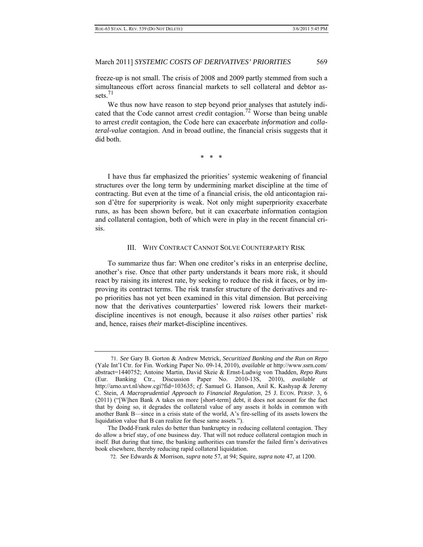freeze-up is not small. The crisis of 2008 and 2009 partly stemmed from such a simultaneous effort across financial markets to sell collateral and debtor assets. $71$ 

We thus now have reason to step beyond prior analyses that astutely indicated that the Code cannot arrest *credit* contagion.72 Worse than being unable to arrest *credit* contagion, the Code here can exacerbate *information* and *collateral-value* contagion. And in broad outline, the financial crisis suggests that it did both.

\* \* \*

I have thus far emphasized the priorities' systemic weakening of financial structures over the long term by undermining market discipline at the time of contracting. But even at the time of a financial crisis, the old anticontagion raison d'être for superpriority is weak. Not only might superpriority exacerbate runs, as has been shown before, but it can exacerbate information contagion and collateral contagion, both of which were in play in the recent financial crisis.

#### III. WHY CONTRACT CANNOT SOLVE COUNTERPARTY RISK

To summarize thus far: When one creditor's risks in an enterprise decline, another's rise. Once that other party understands it bears more risk, it should react by raising its interest rate, by seeking to reduce the risk it faces, or by improving its contract terms. The risk transfer structure of the derivatives and repo priorities has not yet been examined in this vital dimension. But perceiving now that the derivatives counterparties' lowered risk lowers their marketdiscipline incentives is not enough, because it also *raises* other parties' risk and, hence, raises *their* market-discipline incentives.

<sup>71.</sup> *See* Gary B. Gorton & Andrew Metrick, *Securitized Banking and the Run on Repo* (Yale Int'l Ctr. for Fin. Working Paper No. 09-14, 2010), *available at* http://www.ssrn.com/ abstract=1440752; Antoine Martin, David Skeie & Ernst-Ludwig von Thadden, *Repo Runs* (Eur. Banking Ctr., Discussion Paper No. 2010-13S, 2010), *available at* http://arno.uvt.nl/show.cgi?fid=103635; *cf.* Samuel G. Hanson, Anil K. Kashyap & Jeremy C. Stein, *A Macroprudential Approach to Financial Regulation*, 25 J. ECON. PERSP. 3, 6 (2011) ("[W]hen Bank A takes on more [short-term] debt, it does not account for the fact that by doing so, it degrades the collateral value of any assets it holds in common with another Bank B—since in a crisis state of the world, A's fire-selling of its assets lowers the liquidation value that B can realize for these same assets.").

The Dodd-Frank rules do better than bankruptcy in reducing collateral contagion. They do allow a brief stay, of one business day. That will not reduce collateral contagion much in itself. But during that time, the banking authorities can transfer the failed firm's derivatives book elsewhere, thereby reducing rapid collateral liquidation.

 <sup>72.</sup> *See* Edwards & Morrison, *supra* note 57, at 94; Squire, *supra* note 47, at 1200.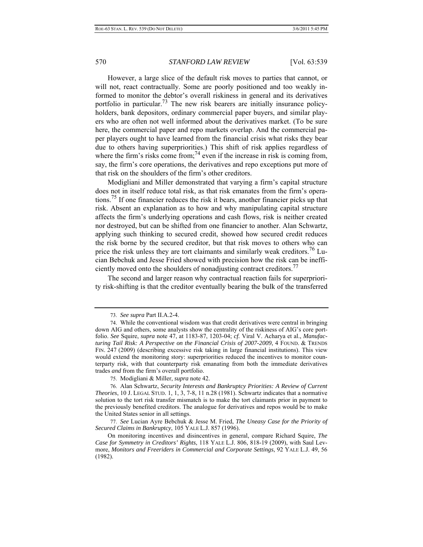However, a large slice of the default risk moves to parties that cannot, or will not, react contractually. Some are poorly positioned and too weakly informed to monitor the debtor's overall riskiness in general and its derivatives portfolio in particular.<sup>73</sup> The new risk bearers are initially insurance policyholders, bank depositors, ordinary commercial paper buyers, and similar players who are often not well informed about the derivatives market. (To be sure here, the commercial paper and repo markets overlap. And the commercial paper players ought to have learned from the financial crisis what risks they bear due to others having superpriorities.) This shift of risk applies regardless of where the firm's risks come from;<sup>74</sup> even if the increase in risk is coming from, say, the firm's core operations, the derivatives and repo exceptions put more of that risk on the shoulders of the firm's other creditors.

Modigliani and Miller demonstrated that varying a firm's capital structure does not in itself reduce total risk, as that risk emanates from the firm's operations.75 If one financier reduces the risk it bears, another financier picks up that risk. Absent an explanation as to how and why manipulating capital structure affects the firm's underlying operations and cash flows, risk is neither created nor destroyed, but can be shifted from one financier to another. Alan Schwartz, applying such thinking to secured credit, showed how secured credit reduces the risk borne by the secured creditor, but that risk moves to others who can price the risk unless they are tort claimants and similarly weak creditors.<sup>76</sup> Lucian Bebchuk and Jesse Fried showed with precision how the risk can be inefficiently moved onto the shoulders of nonadjusting contract creditors.<sup>77</sup>

The second and larger reason why contractual reaction fails for superpriority risk-shifting is that the creditor eventually bearing the bulk of the transferred

 <sup>73.</sup> *See supra* Part II.A.2-4.

 <sup>74.</sup> While the conventional wisdom was that credit derivatives were central in bringing down AIG and others, some analysts show the centrality of the riskiness of AIG's core portfolio. *See* Squire, *supra* note 47, at 1183-87, 1203-04; *cf.* Viral V. Acharya et al., *Manufacturing Tail Risk: A Perspective on the Financial Crisis of 2007-2009*, 4 FOUND. & TRENDS FIN. 247 (2009) (describing excessive risk taking in large financial institutions). This view would extend the monitoring story: superpriorities reduced the incentives to monitor counterparty risk, with that counterparty risk emanating from both the immediate derivatives trades *and* from the firm's overall portfolio.

 <sup>75.</sup> Modigliani & Miller, *supra* note 42.

 <sup>76.</sup> Alan Schwartz, *Security Interests and Bankruptcy Priorities: A Review of Current Theories*, 10 J. LEGAL STUD. 1, 1, 3, 7-8, 11 n.28 (1981). Schwartz indicates that a normative solution to the tort risk transfer mismatch is to make the tort claimants prior in payment to the previously benefited creditors. The analogue for derivatives and repos would be to make the United States senior in all settings.

 <sup>77.</sup> *See* Lucian Ayre Bebchuk & Jesse M. Fried, *The Uneasy Case for the Priority of Secured Claims in Bankruptcy*, 105 YALE L.J. 857 (1996).

On monitoring incentives and disincentives in general, compare Richard Squire, *The Case for Symmetry in Creditors' Rights*, 118 YALE L.J. 806, 818-19 (2009), with Saul Levmore, *Monitors and Freeriders in Commercial and Corporate Settings*, 92 YALE L.J. 49, 56 (1982).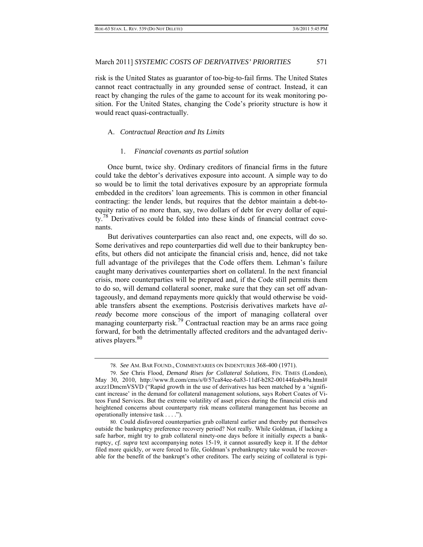risk is the United States as guarantor of too-big-to-fail firms. The United States cannot react contractually in any grounded sense of contract. Instead, it can react by changing the rules of the game to account for its weak monitoring position. For the United States, changing the Code's priority structure is how it would react quasi-contractually.

# A. *Contractual Reaction and Its Limits*

#### 1. *Financial covenants as partial solution*

Once burnt, twice shy. Ordinary creditors of financial firms in the future could take the debtor's derivatives exposure into account. A simple way to do so would be to limit the total derivatives exposure by an appropriate formula embedded in the creditors' loan agreements. This is common in other financial contracting: the lender lends, but requires that the debtor maintain a debt-toequity ratio of no more than, say, two dollars of debt for every dollar of equity.<sup>78</sup> Derivatives could be folded into these kinds of financial contract covenants.

But derivatives counterparties can also react and, one expects, will do so. Some derivatives and repo counterparties did well due to their bankruptcy benefits, but others did not anticipate the financial crisis and, hence, did not take full advantage of the privileges that the Code offers them. Lehman's failure caught many derivatives counterparties short on collateral. In the next financial crisis, more counterparties will be prepared and, if the Code still permits them to do so, will demand collateral sooner, make sure that they can set off advantageously, and demand repayments more quickly that would otherwise be voidable transfers absent the exemptions. Postcrisis derivatives markets have *already* become more conscious of the import of managing collateral over managing counterparty risk.<sup>79</sup> Contractual reaction may be an arms race going forward, for both the detrimentally affected creditors and the advantaged derivatives players.<sup>80</sup>

 <sup>78.</sup> *See* AM. BAR FOUND., COMMENTARIES ON INDENTURES 368-400 (1971).

 <sup>79.</sup> *See* Chris Flood, *Demand Rises for Collateral Solutions*, FIN. TIMES (London), May 30, 2010, http://www.ft.com/cms/s/0/57ca84ee-6a83-11df-b282-00144feab49a.html# axzz1DmcmVSVD ("Rapid growth in the use of derivatives has been matched by a 'significant increase' in the demand for collateral management solutions, says Robert Coates of Viteos Fund Services. But the extreme volatility of asset prices during the financial crisis and heightened concerns about counterparty risk means collateral management has become an operationally intensive task . . . .").

 <sup>80.</sup> Could disfavored counterparties grab collateral earlier and thereby put themselves outside the bankruptcy preference recovery period? Not really. While Goldman, if lacking a safe harbor, might try to grab collateral ninety-one days before it initially *expects* a bankruptcy, *cf. supra* text accompanying notes 15-19, it cannot assuredly keep it. If the debtor filed more quickly, or were forced to file, Goldman's prebankruptcy take would be recoverable for the benefit of the bankrupt's other creditors. The early seizing of collateral is typi-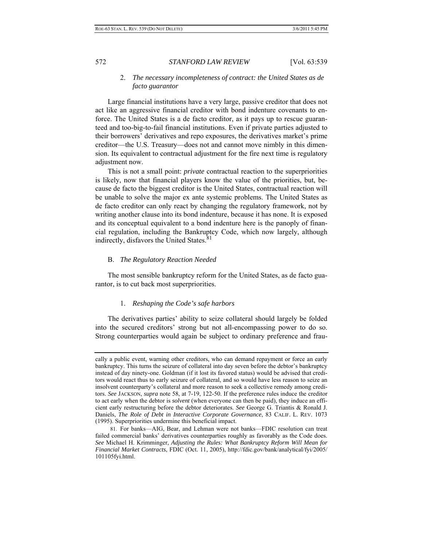### 2. *The necessary incompleteness of contract: the United States as de facto guarantor*

Large financial institutions have a very large, passive creditor that does not act like an aggressive financial creditor with bond indenture covenants to enforce. The United States is a de facto creditor, as it pays up to rescue guaranteed and too-big-to-fail financial institutions. Even if private parties adjusted to their borrowers' derivatives and repo exposures, the derivatives market's prime creditor—the U.S. Treasury—does not and cannot move nimbly in this dimension. Its equivalent to contractual adjustment for the fire next time is regulatory adjustment now.

This is not a small point: *private* contractual reaction to the superpriorities is likely, now that financial players know the value of the priorities, but, because de facto the biggest creditor is the United States, contractual reaction will be unable to solve the major ex ante systemic problems. The United States as de facto creditor can only react by changing the regulatory framework, not by writing another clause into its bond indenture, because it has none. It is exposed and its conceptual equivalent to a bond indenture here is the panoply of financial regulation, including the Bankruptcy Code, which now largely, although indirectly, disfavors the United States.<sup>81</sup>

#### B. *The Regulatory Reaction Needed*

The most sensible bankruptcy reform for the United States, as de facto guarantor, is to cut back most superpriorities.

# 1. *Reshaping the Code's safe harbors*

 The derivatives parties' ability to seize collateral should largely be folded into the secured creditors' strong but not all-encompassing power to do so. Strong counterparties would again be subject to ordinary preference and frau-

cally a public event, warning other creditors, who can demand repayment or force an early bankruptcy. This turns the seizure of collateral into day seven before the debtor's bankruptcy instead of day ninety-one. Goldman (if it lost its favored status) would be advised that creditors would react thus to early seizure of collateral, and so would have less reason to seize an insolvent counterparty's collateral and more reason to seek a collective remedy among creditors. *See* JACKSON, *supra* note 58, at 7-19, 122-50. If the preference rules induce the creditor to act early when the debtor is *solvent* (when everyone can then be paid), they induce an efficient early restructuring before the debtor deteriorates. *See* George G. Triantis & Ronald J. Daniels, *The Role of Debt in Interactive Corporate Governance*, 83 CALIF. L. REV. 1073 (1995). Superpriorities undermine this beneficial impact.

 <sup>81.</sup> For banks—AIG, Bear, and Lehman were not banks—FDIC resolution can treat failed commercial banks' derivatives counterparties roughly as favorably as the Code does. *See* Michael H. Krimminger, *Adjusting the Rules: What Bankruptcy Reform Will Mean for Financial Market Contracts*, FDIC (Oct. 11, 2005), http://fdic.gov/bank/analytical/fyi/2005/ 101105fyi.html.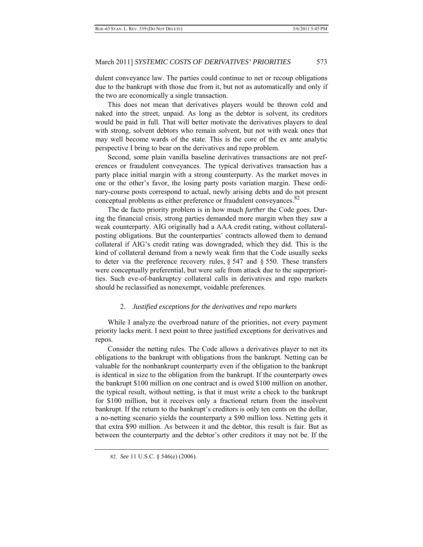dulent conveyance law. The parties could continue to net or recoup obligations due to the bankrupt with those due from it, but not as automatically and only if the two are economically a single transaction.

This does not mean that derivatives players would be thrown cold and naked into the street, unpaid. As long as the debtor is solvent, its creditors would be paid in full. That will better motivate the derivatives players to deal with strong, solvent debtors who remain solvent, but not with weak ones that may well become wards of the state. This is the core of the ex ante analytic perspective I bring to bear on the derivatives and repo problem.

Second, some plain vanilla baseline derivatives transactions are not preferences or fraudulent conveyances. The typical derivatives transaction has a party place initial margin with a strong counterparty. As the market moves in one or the other's favor, the losing party posts variation margin. These ordinary-course posts correspond to actual, newly arising debts and do not present conceptual problems as either preference or fraudulent conveyances.<sup>82</sup>

The de facto priority problem is in how much *further* the Code goes. During the financial crisis, strong parties demanded more margin when they saw a weak counterparty. AIG originally had a AAA credit rating, without collateralposting obligations. But the counterparties' contracts allowed them to demand collateral if AIG's credit rating was downgraded, which they did. This is the kind of collateral demand from a newly weak firm that the Code usually seeks to deter via the preference recovery rules,  $\S$  547 and  $\S$  550. These transfers were conceptually preferential, but were safe from attack due to the superpriorities. Such eve-of-bankruptcy collateral calls in derivatives and repo markets should be reclassified as nonexempt, voidable preferences.

# 2. *Justified exceptions for the derivatives and repo markets*

 While I analyze the overbroad nature of the priorities, not every payment priority lacks merit. I next point to three justified exceptions for derivatives and repos.

Consider the netting rules. The Code allows a derivatives player to net its obligations to the bankrupt with obligations from the bankrupt. Netting can be valuable for the nonbankrupt counterparty even if the obligation to the bankrupt is identical in size to the obligation from the bankrupt. If the counterparty owes the bankrupt \$100 million on one contract and is owed \$100 million on another, the typical result, without netting, is that it must write a check to the bankrupt for \$100 million, but it receives only a fractional return from the insolvent bankrupt. If the return to the bankrupt's creditors is only ten cents on the dollar, a no-netting scenario yields the counterparty a \$90 million loss. Netting gets it that extra \$90 million. As between it and the debtor, this result is fair. But as between the counterparty and the debtor's *other* creditors it may not be. If the

 <sup>82.</sup> *See* 11 U.S.C. § 546(e) (2006).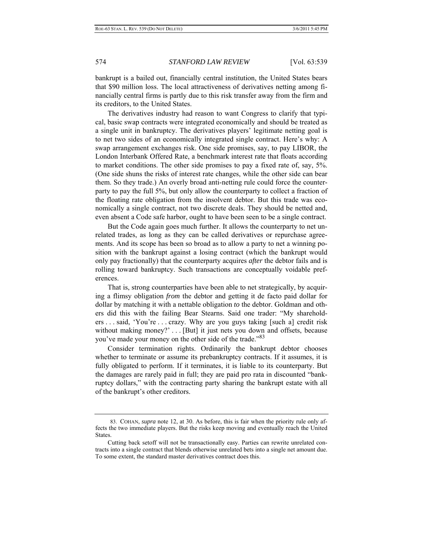bankrupt is a bailed out, financially central institution, the United States bears that \$90 million loss. The local attractiveness of derivatives netting among financially central firms is partly due to this risk transfer away from the firm and its creditors, to the United States.

The derivatives industry had reason to want Congress to clarify that typical, basic swap contracts were integrated economically and should be treated as a single unit in bankruptcy. The derivatives players' legitimate netting goal is to net two sides of an economically integrated single contract. Here's why: A swap arrangement exchanges risk. One side promises, say, to pay LIBOR, the London Interbank Offered Rate, a benchmark interest rate that floats according to market conditions. The other side promises to pay a fixed rate of, say, 5%. (One side shuns the risks of interest rate changes, while the other side can bear them. So they trade.) An overly broad anti-netting rule could force the counterparty to pay the full 5%, but only allow the counterparty to collect a fraction of the floating rate obligation from the insolvent debtor. But this trade was economically a single contract, not two discrete deals. They should be netted and, even absent a Code safe harbor, ought to have been seen to be a single contract.

But the Code again goes much further. It allows the counterparty to net unrelated trades, as long as they can be called derivatives or repurchase agreements. And its scope has been so broad as to allow a party to net a winning position with the bankrupt against a losing contract (which the bankrupt would only pay fractionally) that the counterparty acquires *after* the debtor fails and is rolling toward bankruptcy. Such transactions are conceptually voidable preferences.

That is, strong counterparties have been able to net strategically, by acquiring a flimsy obligation *from* the debtor and getting it de facto paid dollar for dollar by matching it with a nettable obligation *to* the debtor. Goldman and others did this with the failing Bear Stearns. Said one trader: "My shareholders . . . said, 'You're . . . crazy. Why are you guys taking [such a] credit risk without making money?' . . . [But] it just nets you down and offsets, because you've made your money on the other side of the trade."<sup>83</sup>

Consider termination rights. Ordinarily the bankrupt debtor chooses whether to terminate or assume its prebankruptcy contracts. If it assumes, it is fully obligated to perform. If it terminates, it is liable to its counterparty. But the damages are rarely paid in full; they are paid pro rata in discounted "bankruptcy dollars," with the contracting party sharing the bankrupt estate with all of the bankrupt's other creditors.

 <sup>83.</sup> COHAN, *supra* note 12, at 30. As before, this is fair when the priority rule only affects the two immediate players. But the risks keep moving and eventually reach the United States.

Cutting back setoff will not be transactionally easy. Parties can rewrite unrelated contracts into a single contract that blends otherwise unrelated bets into a single net amount due. To some extent, the standard master derivatives contract does this.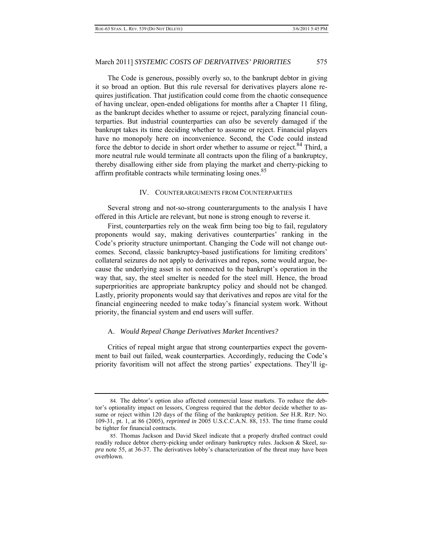The Code is generous, possibly overly so, to the bankrupt debtor in giving it so broad an option. But this rule reversal for derivatives players alone requires justification. That justification could come from the chaotic consequence of having unclear, open-ended obligations for months after a Chapter 11 filing, as the bankrupt decides whether to assume or reject, paralyzing financial counterparties. But industrial counterparties can *also* be severely damaged if the bankrupt takes its time deciding whether to assume or reject. Financial players have no monopoly here on inconvenience. Second, the Code could instead force the debtor to decide in short order whether to assume or reject.<sup>84</sup> Third, a more neutral rule would terminate all contracts upon the filing of a bankruptcy, thereby disallowing either side from playing the market and cherry-picking to affirm profitable contracts while terminating losing ones.<sup>85</sup>

#### IV. COUNTERARGUMENTS FROM COUNTERPARTIES

Several strong and not-so-strong counterarguments to the analysis I have offered in this Article are relevant, but none is strong enough to reverse it.

First, counterparties rely on the weak firm being too big to fail, regulatory proponents would say, making derivatives counterparties' ranking in the Code's priority structure unimportant. Changing the Code will not change outcomes. Second, classic bankruptcy-based justifications for limiting creditors' collateral seizures do not apply to derivatives and repos, some would argue, because the underlying asset is not connected to the bankrupt's operation in the way that, say, the steel smelter is needed for the steel mill. Hence, the broad superpriorities are appropriate bankruptcy policy and should not be changed. Lastly, priority proponents would say that derivatives and repos are vital for the financial engineering needed to make today's financial system work. Without priority, the financial system and end users will suffer.

#### A. *Would Repeal Change Derivatives Market Incentives?*

Critics of repeal might argue that strong counterparties expect the government to bail out failed, weak counterparties. Accordingly, reducing the Code's priority favoritism will not affect the strong parties' expectations. They'll ig-

 <sup>84.</sup> The debtor's option also affected commercial lease markets. To reduce the debtor's optionality impact on lessors, Congress required that the debtor decide whether to assume or reject within 120 days of the filing of the bankruptcy petition. *See* H.R. REP. NO. 109-31, pt. 1, at 86 (2005), *reprinted in* 2005 U.S.C.C.A.N. 88, 153. The time frame could be tighter for financial contracts.

 <sup>85.</sup> Thomas Jackson and David Skeel indicate that a properly drafted contract could readily reduce debtor cherry-picking under ordinary bankruptcy rules. Jackson & Skeel, *supra* note 55, at 36-37. The derivatives lobby's characterization of the threat may have been overblown.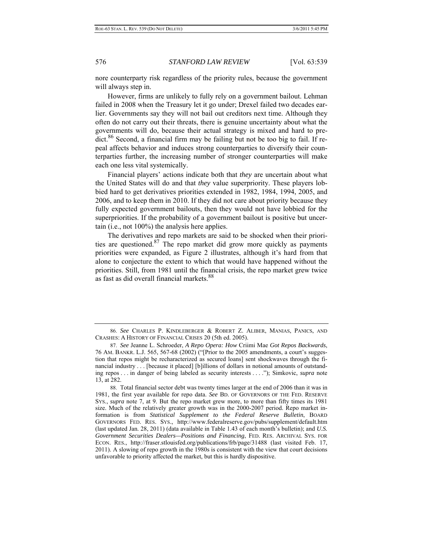nore counterparty risk regardless of the priority rules, because the government will always step in.

However, firms are unlikely to fully rely on a government bailout. Lehman failed in 2008 when the Treasury let it go under; Drexel failed two decades earlier. Governments say they will not bail out creditors next time. Although they often do not carry out their threats, there is genuine uncertainty about what the governments will do, because their actual strategy is mixed and hard to predict.<sup>86</sup> Second, a financial firm may be failing but not be too big to fail. If repeal affects behavior and induces strong counterparties to diversify their counterparties further, the increasing number of stronger counterparties will make each one less vital systemically.

Financial players' actions indicate both that *they* are uncertain about what the United States will do and that *they* value superpriority. These players lobbied hard to get derivatives priorities extended in 1982, 1984, 1994, 2005, and 2006, and to keep them in 2010. If they did not care about priority because they fully expected government bailouts, then they would not have lobbied for the superpriorities. If the probability of a government bailout is positive but uncertain (i.e., not 100%) the analysis here applies.

The derivatives and repo markets are said to be shocked when their priorities are questioned. $87$  The repo market did grow more quickly as payments priorities were expanded, as Figure 2 illustrates, although it's hard from that alone to conjecture the extent to which that would have happened without the priorities. Still, from 1981 until the financial crisis, the repo market grew twice as fast as did overall financial markets.<sup>88</sup>

 <sup>86.</sup> *See* CHARLES P. KINDLEBERGER & ROBERT Z. ALIBER, MANIAS, PANICS, AND CRASHES: A HISTORY OF FINANCIAL CRISES 20 (5th ed. 2005).

 <sup>87.</sup> *See* Jeanne L. Schroeder, *A Repo Opera: How* Criimi Mae *Got Repos Backwards*, 76 AM. BANKR. L.J. 565, 567-68 (2002) ("[Prior to the 2005 amendments, a court's suggestion that repos might be recharacterized as secured loans] sent shockwaves through the financial industry . . . [because it placed] [b]illions of dollars in notional amounts of outstanding repos . . . in danger of being labeled as security interests . . . ."); Simkovic, *supra* note 13, at 282.

 <sup>88.</sup> Total financial sector debt was twenty times larger at the end of 2006 than it was in 1981, the first year available for repo data. *See* BD. OF GOVERNORS OF THE FED. RESERVE SYS., *supra* note 7, at 9. But the repo market grew more, to more than fifty times its 1981 size. Much of the relatively greater growth was in the 2000-2007 period. Repo market information is from *Statistical Supplement to the Federal Reserve Bulletin*, BOARD GOVERNORS FED. RES. SYS., http://www.federalreserve.gov/pubs/supplement/default.htm (last updated Jan. 28, 2011) (data available in Table 1.43 of each month's bulletin); and *U.S. Government Securities Dealers—Positions and Financing*, FED. RES. ARCHIVAL SYS. FOR ECON. RES., http://fraser.stlouisfed.org/publications/frb/page/31488 (last visited Feb. 17, 2011). A slowing of repo growth in the 1980s is consistent with the view that court decisions unfavorable to priority affected the market, but this is hardly dispositive.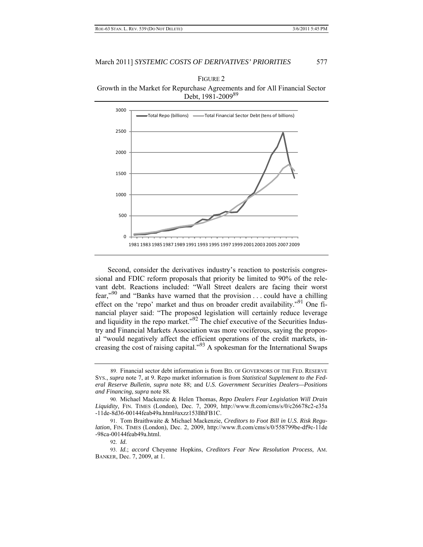



Second, consider the derivatives industry's reaction to postcrisis congressional and FDIC reform proposals that priority be limited to 90% of the relevant debt. Reactions included: "Wall Street dealers are facing their worst fear,"<sup>90</sup> and "Banks have warned that the provision . . . could have a chilling effect on the 'repo' market and thus on broader credit availability."91 One financial player said: "The proposed legislation will certainly reduce leverage and liquidity in the repo market.<sup>"92</sup> The chief executive of the Securities Industry and Financial Markets Association was more vociferous, saying the proposal "would negatively affect the efficient operations of the credit markets, increasing the cost of raising capital." $93$  A spokesman for the International Swaps

 <sup>89.</sup> Financial sector debt information is from BD. OF GOVERNORS OF THE FED. RESERVE SYS., *supra* note 7, at 9. Repo market information is from *Statistical Supplement to the Federal Reserve Bulletin*, *supra* note 88; and *U.S. Government Securities Dealers—Positions and Financing*, *supra* note 88.

 <sup>90.</sup> Michael Mackenzie & Helen Thomas, *Repo Dealers Fear Legislation Will Drain Liquidity*, FIN. TIMES (London), Dec. 7, 2009, http://www.ft.com/cms/s/0/c26678c2-e35a -11de-8d36-00144feab49a.html#axzz153BhFB1C.

 <sup>91.</sup> Tom Braithwaite & Michael Mackenzie, *Creditors to Foot Bill in U.S. Risk Regulation*, FIN. TIMES (London), Dec. 2, 2009, http://www.ft.com/cms/s/0/558799be-df9c-11de -98ca-00144feab49a.html.

 <sup>92.</sup> *Id.*

 <sup>93.</sup> *Id.*; *accord* Cheyenne Hopkins, *Creditors Fear New Resolution Process*, AM. BANKER, Dec. 7, 2009, at 1.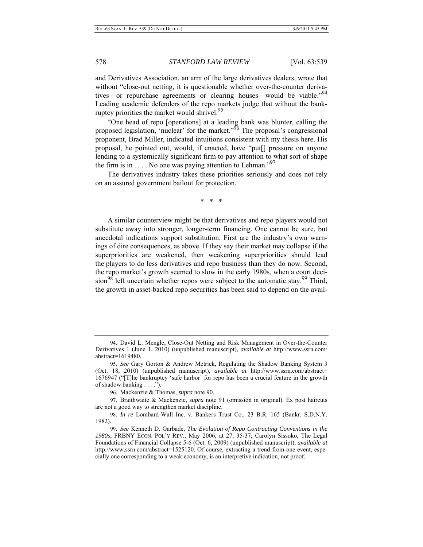and Derivatives Association, an arm of the large derivatives dealers, wrote that without "close-out netting, it is questionable whether over-the-counter derivatives—or repurchase agreements or clearing houses—would be viable."<sup>94</sup> Leading academic defenders of the repo markets judge that without the bankruptcy priorities the market would shrivel.<sup>95</sup>

"One head of repo [operations] at a leading bank was blunter, calling the proposed legislation, 'nuclear' for the market."96 The proposal's congressional proponent, Brad Miller, indicated intuitions consistent with my thesis here. His proposal, he pointed out, would, if enacted, have "put[] pressure on anyone lending to a systemically significant firm to pay attention to what sort of shape the firm is in  $\dots$ . No one was paying attention to Lehman.<sup>"97</sup>

The derivatives industry takes these priorities seriously and does not rely on an assured government bailout for protection.

\* \* \*

A similar counterview might be that derivatives and repo players would not substitute away into stronger, longer-term financing. One cannot be sure, but anecdotal indications support substitution. First are the industry's own warnings of dire consequences, as above. If they say their market may collapse if the superpriorities are weakened, then weakening superpriorities should lead the players to do less derivatives and repo business than they do now. Second, the repo market's growth seemed to slow in the early 1980s, when a court deci- $\sin^{98}$  left uncertain whether repos were subject to the automatic stay.<sup>99</sup> Third, the growth in asset-backed repo securities has been said to depend on the avail-

 <sup>94.</sup> David L. Mengle, Close-Out Netting and Risk Management in Over-the-Counter Derivatives 1 (June 1, 2010) (unpublished manuscript), *available at* http://www.ssrn.com/ abstract=1619480.

 <sup>95.</sup> *See* Gary Gorton & Andrew Metrick, Regulating the Shadow Banking System 3 (Oct. 18, 2010) (unpublished manuscript), *available at* http://www.ssrn.com/abstract= 1676947 ("[T]he bankruptcy 'safe harbor' for repo has been a crucial feature in the growth of shadow banking . . . .").

 <sup>96.</sup> Mackenzie & Thomas, *supra* note 90.

 <sup>97.</sup> Braithwaite & Mackenzie, *supra* note 91 (omission in original). Ex post haircuts are not a good way to strengthen market discipline.

 <sup>98.</sup> *In re* Lombard-Wall Inc. v. Bankers Trust Co., 23 B.R. 165 (Bankr. S.D.N.Y. 1982).

 <sup>99.</sup> *See* Kenneth D. Garbade, *The Evolution of Repo Contracting Conventions in the 1980s*, FRBNY ECON. POL'Y REV., May 2006, at 27, 35-37; Carolyn Sissoko, The Legal Foundations of Financial Collapse 5-6 (Oct. 6, 2009) (unpublished manuscript), *available at* http://www.ssrn.com/abstract=1525120. Of course, extracting a trend from one event, especially one corresponding to a weak economy, is an interpretive indication, not proof.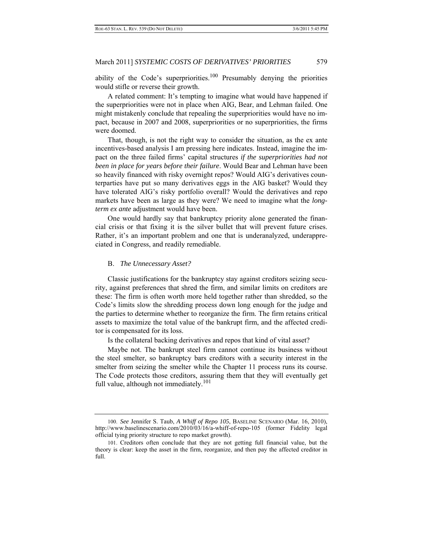ability of the Code's superpriorities.<sup>100</sup> Presumably denying the priorities would stifle or reverse their growth.

A related comment: It's tempting to imagine what would have happened if the superpriorities were not in place when AIG, Bear, and Lehman failed. One might mistakenly conclude that repealing the superpriorities would have no impact, because in 2007 and 2008, superpriorities or no superpriorities, the firms were doomed.

That, though, is not the right way to consider the situation, as the ex ante incentives-based analysis I am pressing here indicates. Instead, imagine the impact on the three failed firms' capital structures *if the superpriorities had not been in place for years before their failure*. Would Bear and Lehman have been so heavily financed with risky overnight repos? Would AIG's derivatives counterparties have put so many derivatives eggs in the AIG basket? Would they have tolerated AIG's risky portfolio overall? Would the derivatives and repo markets have been as large as they were? We need to imagine what the *longterm ex ante* adjustment would have been.

One would hardly say that bankruptcy priority alone generated the financial crisis or that fixing it is the silver bullet that will prevent future crises. Rather, it's an important problem and one that is underanalyzed, underappreciated in Congress, and readily remediable.

#### B. *The Unnecessary Asset?*

Classic justifications for the bankruptcy stay against creditors seizing security, against preferences that shred the firm, and similar limits on creditors are these: The firm is often worth more held together rather than shredded, so the Code's limits slow the shredding process down long enough for the judge and the parties to determine whether to reorganize the firm. The firm retains critical assets to maximize the total value of the bankrupt firm, and the affected creditor is compensated for its loss.

Is the collateral backing derivatives and repos that kind of vital asset?

Maybe not. The bankrupt steel firm cannot continue its business without the steel smelter, so bankruptcy bars creditors with a security interest in the smelter from seizing the smelter while the Chapter 11 process runs its course. The Code protects those creditors, assuring them that they will eventually get full value, although not immediately.<sup>101</sup>

<sup>100.</sup> *See* Jennifer S. Taub, *A Whiff of Repo 105*, BASELINE SCENARIO (Mar. 16, 2010), http://www.baselinescenario.com/2010/03/16/a-whiff-of-repo-105 (former Fidelity legal official tying priority structure to repo market growth).

<sup>101.</sup> Creditors often conclude that they are not getting full financial value, but the theory is clear: keep the asset in the firm, reorganize, and then pay the affected creditor in full.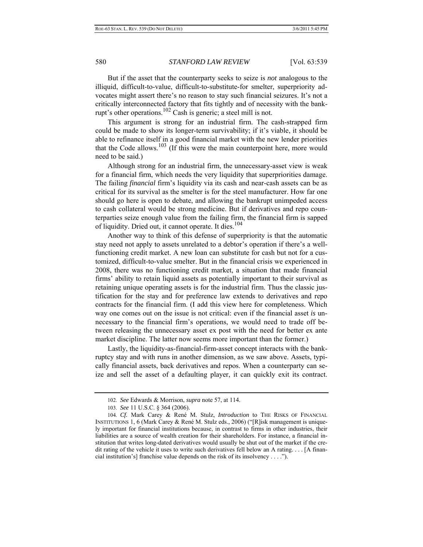But if the asset that the counterparty seeks to seize is *not* analogous to the illiquid, difficult-to-value, difficult-to-substitute-for smelter, superpriority advocates might assert there's no reason to stay such financial seizures. It's not a critically interconnected factory that fits tightly and of necessity with the bankrupt's other operations.102 Cash is generic; a steel mill is not.

This argument is strong for an industrial firm. The cash-strapped firm could be made to show its longer-term survivability; if it's viable, it should be able to refinance itself in a good financial market with the new lender priorities that the Code allows.<sup>103</sup> (If this were the main counterpoint here, more would need to be said.)

Although strong for an industrial firm, the unnecessary-asset view is weak for a financial firm, which needs the very liquidity that superpriorities damage. The failing *financial* firm's liquidity via its cash and near-cash assets can be as critical for its survival as the smelter is for the steel manufacturer. How far one should go here is open to debate, and allowing the bankrupt unimpeded access to cash collateral would be strong medicine. But if derivatives and repo counterparties seize enough value from the failing firm, the financial firm is sapped of liquidity. Dried out, it cannot operate. It dies.<sup>104</sup>

Another way to think of this defense of superpriority is that the automatic stay need not apply to assets unrelated to a debtor's operation if there's a wellfunctioning credit market. A new loan can substitute for cash but not for a customized, difficult-to-value smelter. But in the financial crisis we experienced in 2008, there was no functioning credit market, a situation that made financial firms' ability to retain liquid assets as potentially important to their survival as retaining unique operating assets is for the industrial firm. Thus the classic justification for the stay and for preference law extends to derivatives and repo contracts for the financial firm. (I add this view here for completeness. Which way one comes out on the issue is not critical: even if the financial asset *is* unnecessary to the financial firm's operations, we would need to trade off between releasing the unnecessary asset ex post with the need for better ex ante market discipline. The latter now seems more important than the former.)

Lastly, the liquidity-as-financial-firm-asset concept interacts with the bankruptcy stay and with runs in another dimension, as we saw above. Assets, typically financial assets, back derivatives and repos. When a counterparty can seize and sell the asset of a defaulting player, it can quickly exit its contract.

 <sup>102.</sup> *See* Edwards & Morrison, *supra* note 57, at 114.

<sup>103.</sup> *See* 11 U.S.C. § 364 (2006).

 <sup>104.</sup> *Cf.* Mark Carey & René M. Stulz, *Introduction* to THE RISKS OF FINANCIAL INSTITUTIONS 1, 6 (Mark Carey & René M. Stulz eds., 2006) ("[R]isk management is uniquely important for financial institutions because, in contrast to firms in other industries, their liabilities are a source of wealth creation for their shareholders. For instance, a financial institution that writes long-dated derivatives would usually be shut out of the market if the credit rating of the vehicle it uses to write such derivatives fell below an A rating. . . . [A financial institution's] franchise value depends on the risk of its insolvency . . . .").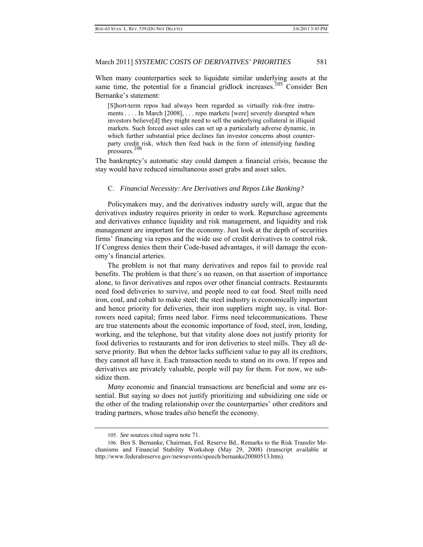When many counterparties seek to liquidate similar underlying assets at the same time, the potential for a financial gridlock increases.<sup>105</sup> Consider Ben Bernanke's statement:

[S]hort-term repos had always been regarded as virtually risk-free instruments . . . . In March [2008], . . . repo markets [were] severely disrupted when investors believe[d] they might need to sell the underlying collateral in illiquid markets. Such forced asset sales can set up a particularly adverse dynamic, in which further substantial price declines fan investor concerns about counterparty credit risk, which then feed back in the form of intensifying funding pressures.<sup>106</sup>

The bankruptcy's automatic stay could dampen a financial crisis, because the stay would have reduced simultaneous asset grabs and asset sales.

### C. *Financial Necessity: Are Derivatives and Repos Like Banking?*

Policymakers may, and the derivatives industry surely will, argue that the derivatives industry requires priority in order to work. Repurchase agreements and derivatives enhance liquidity and risk management, and liquidity and risk management are important for the economy. Just look at the depth of securities firms' financing via repos and the wide use of credit derivatives to control risk. If Congress denies them their Code-based advantages, it will damage the economy's financial arteries.

The problem is not that many derivatives and repos fail to provide real benefits. The problem is that there's no reason, on that assertion of importance alone, to favor derivatives and repos over other financial contracts. Restaurants need food deliveries to survive, and people need to eat food. Steel mills need iron, coal, and cobalt to make steel; the steel industry is economically important and hence priority for deliveries, their iron suppliers might say, is vital. Borrowers need capital; firms need labor. Firms need telecommunications. These are true statements about the economic importance of food, steel, iron, lending, working, and the telephone, but that vitality alone does not justify priority for food deliveries to restaurants and for iron deliveries to steel mills. They all deserve priority. But when the debtor lacks sufficient value to pay all its creditors, they cannot all have it. Each transaction needs to stand on its own. If repos and derivatives are privately valuable, people will pay for them. For now, we subsidize them.

*Many* economic and financial transactions are beneficial and some are essential. But saying so does not justify prioritizing and subsidizing one side or the other of the trading relationship over the counterparties' other creditors and trading partners, whose trades *also* benefit the economy.

<sup>105.</sup> *See* sources cited *supra* note 71.

<sup>106.</sup> Ben S. Bernanke, Chairman, Fed. Reserve Bd., Remarks to the Risk Transfer Mechanisms and Financial Stability Workshop (May 29, 2008) (transcript available at http://www.federalreserve.gov/newsevents/speech/bernanke20080513.htm).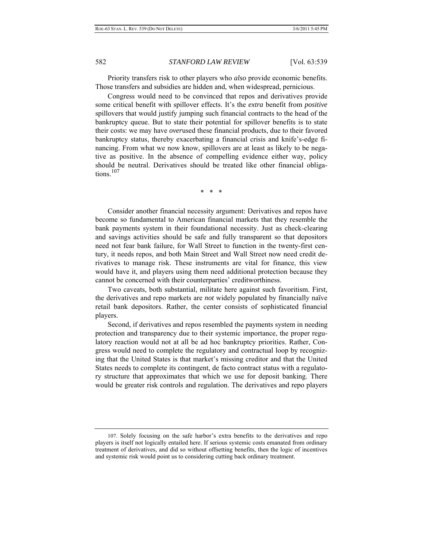Priority transfers risk to other players who *also* provide economic benefits. Those transfers and subsidies are hidden and, when widespread, pernicious.

Congress would need to be convinced that repos and derivatives provide some critical benefit with spillover effects. It's the *extra* benefit from *positive* spillovers that would justify jumping such financial contracts to the head of the bankruptcy queue. But to state their potential for spillover benefits is to state their costs: we may have *over*used these financial products, due to their favored bankruptcy status, thereby exacerbating a financial crisis and knife's-edge financing. From what we now know, spillovers are at least as likely to be negative as positive. In the absence of compelling evidence either way, policy should be neutral. Derivatives should be treated like other financial obligations.<sup>107</sup>

\* \* \*

Consider another financial necessity argument: Derivatives and repos have become so fundamental to American financial markets that they resemble the bank payments system in their foundational necessity. Just as check-clearing and savings activities should be safe and fully transparent so that depositors need not fear bank failure, for Wall Street to function in the twenty-first century, it needs repos, and both Main Street and Wall Street now need credit derivatives to manage risk. These instruments are vital for finance, this view would have it, and players using them need additional protection because they cannot be concerned with their counterparties' creditworthiness.

Two caveats, both substantial, militate here against such favoritism. First, the derivatives and repo markets are *not* widely populated by financially naïve retail bank depositors. Rather, the center consists of sophisticated financial players.

Second, if derivatives and repos resembled the payments system in needing protection and transparency due to their systemic importance, the proper regulatory reaction would not at all be ad hoc bankruptcy priorities. Rather, Congress would need to complete the regulatory and contractual loop by recognizing that the United States is that market's missing creditor and that the United States needs to complete its contingent, de facto contract status with a regulatory structure that approximates that which we use for deposit banking. There would be greater risk controls and regulation. The derivatives and repo players

<sup>107.</sup> Solely focusing on the safe harbor's extra benefits to the derivatives and repo players is itself not logically entailed here. If serious systemic costs emanated from ordinary treatment of derivatives, and did so without offsetting benefits, then the logic of incentives and systemic risk would point us to considering cutting back ordinary treatment.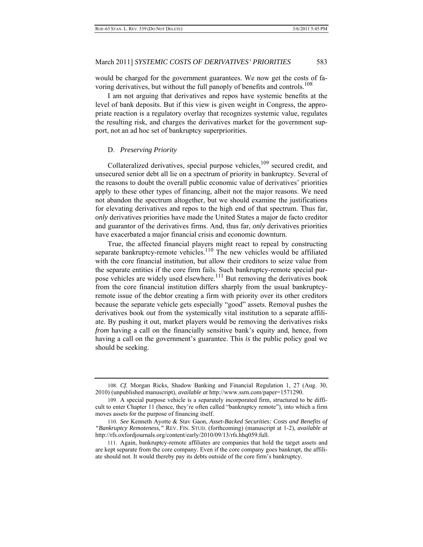would be charged for the government guarantees. We now get the costs of favoring derivatives, but without the full panoply of benefits and controls.<sup>108</sup>

I am not arguing that derivatives and repos have systemic benefits at the level of bank deposits. But if this view is given weight in Congress, the appropriate reaction is a regulatory overlay that recognizes systemic value, regulates the resulting risk, and charges the derivatives market for the government support, not an ad hoc set of bankruptcy superpriorities.

#### D. *Preserving Priority*

Collateralized derivatives, special purpose vehicles,  $109$  secured credit, and unsecured senior debt all lie on a spectrum of priority in bankruptcy. Several of the reasons to doubt the overall public economic value of derivatives' priorities apply to these other types of financing, albeit not the major reasons. We need not abandon the spectrum altogether, but we should examine the justifications for elevating derivatives and repos to the high end of that spectrum. Thus far, *only* derivatives priorities have made the United States a major de facto creditor and guarantor of the derivatives firms. And, thus far, *only* derivatives priorities have exacerbated a major financial crisis and economic downturn.

True, the affected financial players might react to repeal by constructing separate bankruptcy-remote vehicles.<sup>110</sup> The new vehicles would be affiliated with the core financial institution, but allow their creditors to seize value from the separate entities if the core firm fails. Such bankruptcy-remote special purpose vehicles are widely used elsewhere.<sup>111</sup> But removing the derivatives book from the core financial institution differs sharply from the usual bankruptcyremote issue of the debtor creating a firm with priority over its other creditors because the separate vehicle gets especially "good" assets. Removal pushes the derivatives book *out* from the systemically vital institution to a separate affiliate. By pushing it out, market players would be removing the derivatives risks *from* having a call on the financially sensitive bank's equity and, hence, from having a call on the government's guarantee. This *is* the public policy goal we should be seeking.

<sup>108.</sup> *Cf.* Morgan Ricks, Shadow Banking and Financial Regulation 1, 27 (Aug. 30, 2010) (unpublished manuscript), *available at* http://www.ssrn.com/paper=1571290.

<sup>109.</sup> A special purpose vehicle is a separately incorporated firm, structured to be difficult to enter Chapter 11 (hence, they're often called "bankruptcy remote"), into which a firm moves assets for the purpose of financing itself.

<sup>110.</sup> *See* Kenneth Ayotte & Stav Gaon, *Asset-Backed Securities: Costs and Benefits of "Bankruptcy Remoteness*,*"* REV. FIN. STUD. (forthcoming) (manuscript at 1-2), *available at* http://rfs.oxfordjournals.org/content/early/2010/09/13/rfs.hhq059.full.

 <sup>111.</sup> Again, bankruptcy-remote affiliates are companies that hold the target assets and are kept separate from the core company. Even if the core company goes bankrupt, the affiliate should not. It would thereby pay its debts outside of the core firm's bankruptcy.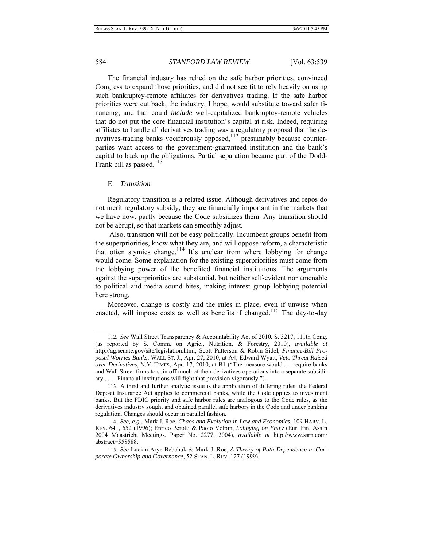The financial industry has relied on the safe harbor priorities, convinced Congress to expand those priorities, and did not see fit to rely heavily on using such bankruptcy-remote affiliates for derivatives trading. If the safe harbor priorities were cut back, the industry, I hope, would substitute toward safer financing, and that could *include* well-capitalized bankruptcy-remote vehicles that do not put the core financial institution's capital at risk. Indeed, requiring affiliates to handle all derivatives trading was a regulatory proposal that the derivatives-trading banks vociferously opposed,<sup>112</sup> presumably because counterparties want access to the government-guaranteed institution and the bank's capital to back up the obligations. Partial separation became part of the Dodd-Frank bill as passed. $113$ 

#### E. *Transition*

Regulatory transition is a related issue. Although derivatives and repos do not merit regulatory subsidy, they are financially important in the markets that we have now, partly because the Code subsidizes them. Any transition should not be abrupt, so that markets can smoothly adjust.

 Also, transition will not be easy politically. Incumbent groups benefit from the superpriorities, know what they are, and will oppose reform, a characteristic that often stymies change.<sup>114</sup> It's unclear from where lobbying for change would come. Some explanation for the existing superpriorities must come from the lobbying power of the benefited financial institutions. The arguments against the superpriorities are substantial, but neither self-evident nor amenable to political and media sound bites, making interest group lobbying potential here strong.

Moreover, change is costly and the rules in place, even if unwise when enacted, will impose costs as well as benefits if changed.<sup>115</sup> The day-to-day

<sup>112.</sup> *See* Wall Street Transparency & Accountability Act of 2010, S. 3217, 111th Cong. (as reported by S. Comm. on Agric., Nutrition, & Forestry, 2010), *available at* http://ag.senate.gov/site/legislation.html; Scott Patterson & Robin Sidel, *Finance-Bill Proposal Worries Banks*, WALL ST. J., Apr. 27, 2010, at A4; Edward Wyatt, *Veto Threat Raised over Derivatives*, N.Y. TIMES, Apr. 17, 2010, at B1 ("The measure would . . . require banks and Wall Street firms to spin off much of their derivatives operations into a separate subsidiary . . . . Financial institutions will fight that provision vigorously.").

<sup>113.</sup> A third and further analytic issue is the application of differing rules: the Federal Deposit Insurance Act applies to commercial banks, while the Code applies to investment banks. But the FDIC priority and safe harbor rules are analogous to the Code rules, as the derivatives industry sought and obtained parallel safe harbors in the Code and under banking regulation. Changes should occur in parallel fashion.

<sup>114.</sup> *See, e.g.*, Mark J. Roe, *Chaos and Evolution in Law and Economics*, 109 HARV. L. REV. 641, 652 (1996); Enrico Perotti & Paolo Volpin, *Lobbying on Entry* (Eur. Fin. Ass'n 2004 Maastricht Meetings, Paper No. 2277, 2004), *available at* http://www.ssrn.com/ abstract=558588.

<sup>115.</sup> *See* Lucian Arye Bebchuk & Mark J. Roe, *A Theory of Path Dependence in Corporate Ownership and Governance*, 52 STAN. L. REV. 127 (1999).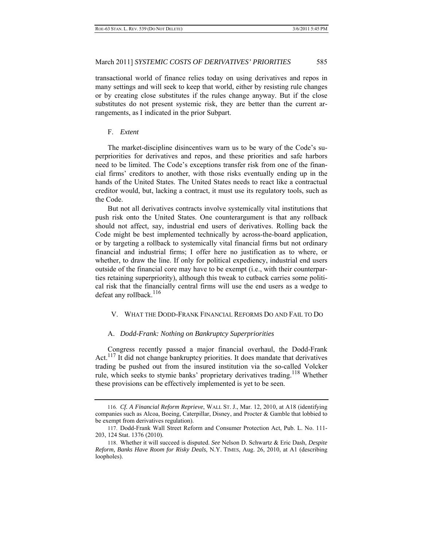transactional world of finance relies today on using derivatives and repos in many settings and will seek to keep that world, either by resisting rule changes or by creating close substitutes if the rules change anyway. But if the close substitutes do not present systemic risk, they are better than the current arrangements, as I indicated in the prior Subpart.

### F. *Extent*

The market-discipline disincentives warn us to be wary of the Code's superpriorities for derivatives and repos, and these priorities and safe harbors need to be limited. The Code's exceptions transfer risk from one of the financial firms' creditors to another, with those risks eventually ending up in the hands of the United States. The United States needs to react like a contractual creditor would, but, lacking a contract, it must use its regulatory tools, such as the Code.

But not all derivatives contracts involve systemically vital institutions that push risk onto the United States. One counterargument is that any rollback should not affect, say, industrial end users of derivatives. Rolling back the Code might be best implemented technically by across-the-board application, or by targeting a rollback to systemically vital financial firms but not ordinary financial and industrial firms; I offer here no justification as to where, or whether, to draw the line. If only for political expediency, industrial end users outside of the financial core may have to be exempt (i.e., with their counterparties retaining superpriority), although this tweak to cutback carries some political risk that the financially central firms will use the end users as a wedge to defeat any rollback. $116$ 

#### V. WHAT THE DODD-FRANK FINANCIAL REFORMS DO AND FAIL TO DO

# A. *Dodd-Frank: Nothing on Bankruptcy Superpriorities*

Congress recently passed a major financial overhaul, the Dodd-Frank Act.<sup>117</sup> It did not change bankruptcy priorities. It does mandate that derivatives trading be pushed out from the insured institution via the so-called Volcker rule, which seeks to stymie banks' proprietary derivatives trading.<sup>118</sup> Whether these provisions can be effectively implemented is yet to be seen.

<sup>116.</sup> *Cf. A Financial Reform Reprieve*, WALL ST. J., Mar. 12, 2010, at A18 (identifying companies such as Alcoa, Boeing, Caterpillar, Disney, and Procter & Gamble that lobbied to be exempt from derivatives regulation).

<sup>117.</sup> Dodd-Frank Wall Street Reform and Consumer Protection Act, Pub. L. No. 111- 203, 124 Stat. 1376 (2010).

<sup>118.</sup> Whether it will succeed is disputed. *See* Nelson D. Schwartz & Eric Dash, *Despite Reform, Banks Have Room for Risky Deals*, N.Y. TIMES, Aug. 26, 2010, at A1 (describing loopholes).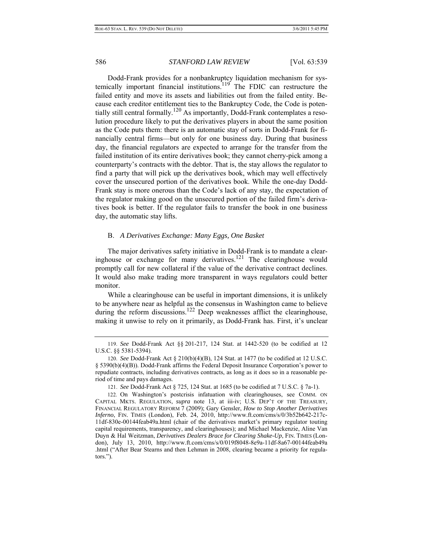Dodd-Frank provides for a nonbankruptcy liquidation mechanism for systemically important financial institutions.<sup>119</sup> The FDIC can restructure the failed entity and move its assets and liabilities out from the failed entity. Because each creditor entitlement ties to the Bankruptcy Code, the Code is potentially still central formally.<sup>120</sup> As importantly, Dodd-Frank contemplates a resolution procedure likely to put the derivatives players in about the same position as the Code puts them: there is an automatic stay of sorts in Dodd-Frank for financially central firms—but only for one business day. During that business day, the financial regulators are expected to arrange for the transfer from the failed institution of its entire derivatives book; they cannot cherry-pick among a counterparty's contracts with the debtor. That is, the stay allows the regulator to find a party that will pick up the derivatives book, which may well effectively cover the unsecured portion of the derivatives book. While the one-day Dodd-Frank stay is more onerous than the Code's lack of any stay, the expectation of the regulator making good on the unsecured portion of the failed firm's derivatives book is better. If the regulator fails to transfer the book in one business day, the automatic stay lifts.

# B. *A Derivatives Exchange: Many Eggs, One Basket*

The major derivatives safety initiative in Dodd-Frank is to mandate a clearinghouse or exchange for many derivatives.<sup>121</sup> The clearinghouse would promptly call for new collateral if the value of the derivative contract declines. It would also make trading more transparent in ways regulators could better monitor.

While a clearinghouse can be useful in important dimensions, it is unlikely to be anywhere near as helpful as the consensus in Washington came to believe during the reform discussions.<sup>122</sup> Deep weaknesses afflict the clearinghouse, making it unwise to rely on it primarily, as Dodd-Frank has. First, it's unclear

<sup>119.</sup> *See* Dodd-Frank Act §§ 201-217, 124 Stat. at 1442-520 (to be codified at 12 U.S.C. §§ 5381-5394).

<sup>120.</sup> *See* Dodd-Frank Act § 210(b)(4)(B), 124 Stat. at 1477 (to be codified at 12 U.S.C. § 5390(b)(4)(B)). Dodd-Frank affirms the Federal Deposit Insurance Corporation's power to repudiate contracts, including derivatives contracts, as long as it does so in a reasonable period of time and pays damages.

<sup>121.</sup> *See* Dodd-Frank Act § 725, 124 Stat. at 1685 (to be codified at 7 U.S.C. § 7a-1).

<sup>122.</sup> On Washington's postcrisis infatuation with clearinghouses, see COMM. ON CAPITAL MKTS. REGULATION, *supra* note 13, at iii-iv; U.S. DEP'T OF THE TREASURY, FINANCIAL REGULATORY REFORM 7 (2009); Gary Gensler, *How to Stop Another Derivatives Inferno*, FIN. TIMES (London), Feb. 24, 2010, http://www.ft.com/cms/s/0/3b52b642-217c-11df-830e-00144feab49a.html (chair of the derivatives market's primary regulator touting capital requirements, transparency, and clearinghouses); and Michael Mackenzie, Aline Van Duyn & Hal Weitzman, *Derivatives Dealers Brace for Clearing Shake-Up*, FIN. TIMES (London), July 13, 2010, http://www.ft.com/cms/s/0/019f8048-8e9a-11df-8a67-00144feab49a .html ("After Bear Stearns and then Lehman in 2008, clearing became a priority for regulators.").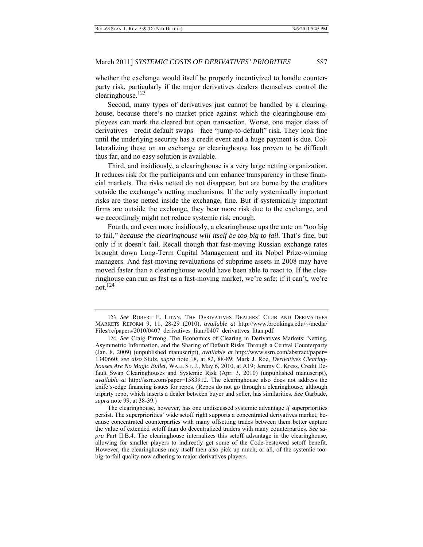whether the exchange would itself be properly incentivized to handle counterparty risk, particularly if the major derivatives dealers themselves control the clearinghouse. $123$ 

Second, many types of derivatives just cannot be handled by a clearinghouse, because there's no market price against which the clearinghouse employees can mark the cleared but open transaction. Worse, one major class of derivatives—credit default swaps—face "jump-to-default" risk. They look fine until the underlying security has a credit event and a huge payment is due. Collateralizing these on an exchange or clearinghouse has proven to be difficult thus far, and no easy solution is available.

Third, and insidiously, a clearinghouse is a very large netting organization. It reduces risk for the participants and can enhance transparency in these financial markets. The risks netted do not disappear, but are borne by the creditors outside the exchange's netting mechanisms. If the only systemically important risks are those netted inside the exchange, fine. But if systemically important firms are outside the exchange, they bear more risk due to the exchange, and we accordingly might not reduce systemic risk enough.

Fourth, and even more insidiously, a clearinghouse ups the ante on "too big to fail," *because the clearinghouse will itself be too big to fail*. That's fine, but only if it doesn't fail. Recall though that fast-moving Russian exchange rates brought down Long-Term Capital Management and its Nobel Prize-winning managers. And fast-moving revaluations of subprime assets in 2008 may have moved faster than a clearinghouse would have been able to react to. If the clearinghouse can run as fast as a fast-moving market, we're safe; if it can't, we're not.124

<sup>123.</sup> *See* ROBERT E. LITAN, THE DERIVATIVES DEALERS' CLUB AND DERIVATIVES MARKETS REFORM 9, 11, 28-29 (2010), *available at* http://www.brookings.edu/~/media/ Files/rc/papers/2010/0407\_derivatives\_litan/0407\_derivatives\_litan.pdf.

<sup>124.</sup> *See* Craig Pirrong, The Economics of Clearing in Derivatives Markets: Netting, Asymmetric Information, and the Sharing of Default Risks Through a Central Counterparty (Jan. 8, 2009) (unpublished manuscript), *available at* http://www.ssrn.com/abstract/paper= 1340660; *see also* Stulz, *supra* note 18, at 82, 88-89; Mark J. Roe, *Derivatives Clearinghouses Are No Magic Bullet*, WALL ST. J., May 6, 2010, at A19; Jeremy C. Kress, Credit Default Swap Clearinghouses and Systemic Risk (Apr. 3, 2010) (unpublished manuscript), *available at* http://ssrn.com/paper=1583912. The clearinghouse also does not address the knife's-edge financing issues for repos. (Repos do not go through a clearinghouse, although triparty repo, which inserts a dealer between buyer and seller, has similarities. *See* Garbade, *supra* note 99, at 38-39.)

The clearinghouse, however, has one undiscussed systemic advantage *if* superpriorities persist. The superpriorities' wide setoff right supports a concentrated derivatives market, because concentrated counterparties with many offsetting trades between them better capture the value of extended setoff than do decentralized traders with many counterparties. *See supra* Part II.B.4. The clearinghouse internalizes this setoff advantage in the clearinghouse, allowing for smaller players to indirectly get some of the Code-bestowed setoff benefit. However, the clearinghouse may itself then also pick up much, or all, of the systemic toobig-to-fail quality now adhering to major derivatives players.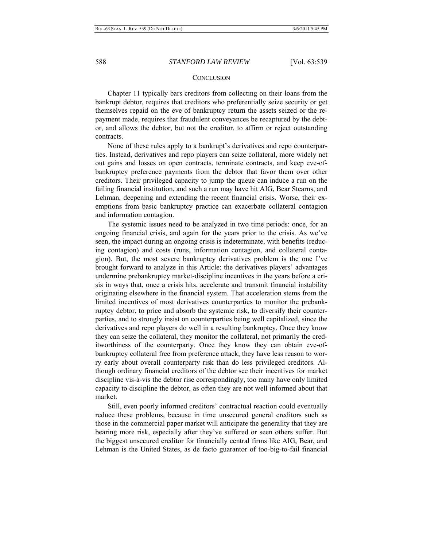#### **CONCLUSION**

Chapter 11 typically bars creditors from collecting on their loans from the bankrupt debtor, requires that creditors who preferentially seize security or get themselves repaid on the eve of bankruptcy return the assets seized or the repayment made, requires that fraudulent conveyances be recaptured by the debtor, and allows the debtor, but not the creditor, to affirm or reject outstanding contracts.

None of these rules apply to a bankrupt's derivatives and repo counterparties. Instead, derivatives and repo players can seize collateral, more widely net out gains and losses on open contracts, terminate contracts, and keep eve-ofbankruptcy preference payments from the debtor that favor them over other creditors. Their privileged capacity to jump the queue can induce a run on the failing financial institution, and such a run may have hit AIG, Bear Stearns, and Lehman, deepening and extending the recent financial crisis. Worse, their exemptions from basic bankruptcy practice can exacerbate collateral contagion and information contagion.

The systemic issues need to be analyzed in two time periods: once, for an ongoing financial crisis, and again for the years prior to the crisis. As we've seen, the impact during an ongoing crisis is indeterminate, with benefits (reducing contagion) and costs (runs, information contagion, and collateral contagion). But, the most severe bankruptcy derivatives problem is the one I've brought forward to analyze in this Article: the derivatives players' advantages undermine prebankruptcy market-discipline incentives in the years before a crisis in ways that, once a crisis hits, accelerate and transmit financial instability originating elsewhere in the financial system. That acceleration stems from the limited incentives of most derivatives counterparties to monitor the prebankruptcy debtor, to price and absorb the systemic risk, to diversify their counterparties, and to strongly insist on counterparties being well capitalized, since the derivatives and repo players do well in a resulting bankruptcy. Once they know they can seize the collateral, they monitor the collateral, not primarily the creditworthiness of the counterparty. Once they know they can obtain eve-ofbankruptcy collateral free from preference attack, they have less reason to worry early about overall counterparty risk than do less privileged creditors. Although ordinary financial creditors of the debtor see their incentives for market discipline vis-à-vis the debtor rise correspondingly, too many have only limited capacity to discipline the debtor, as often they are not well informed about that market.

Still, even poorly informed creditors' contractual reaction could eventually reduce these problems, because in time unsecured general creditors such as those in the commercial paper market will anticipate the generality that they are bearing more risk, especially after they've suffered or seen others suffer. But the biggest unsecured creditor for financially central firms like AIG, Bear, and Lehman is the United States, as de facto guarantor of too-big-to-fail financial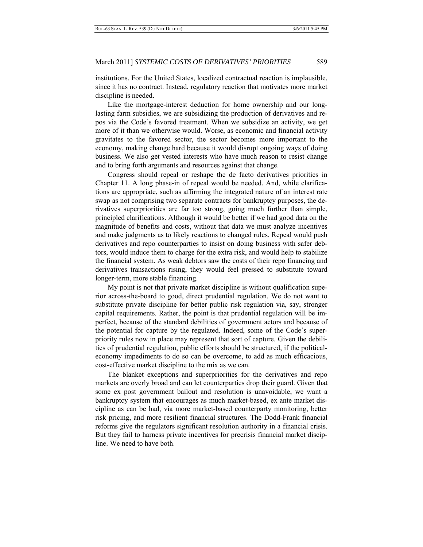institutions. For the United States, localized contractual reaction is implausible, since it has no contract. Instead, regulatory reaction that motivates more market discipline is needed.

Like the mortgage-interest deduction for home ownership and our longlasting farm subsidies, we are subsidizing the production of derivatives and repos via the Code's favored treatment. When we subsidize an activity, we get more of it than we otherwise would. Worse, as economic and financial activity gravitates to the favored sector, the sector becomes more important to the economy, making change hard because it would disrupt ongoing ways of doing business. We also get vested interests who have much reason to resist change and to bring forth arguments and resources against that change.

Congress should repeal or reshape the de facto derivatives priorities in Chapter 11. A long phase-in of repeal would be needed. And, while clarifications are appropriate, such as affirming the integrated nature of an interest rate swap as not comprising two separate contracts for bankruptcy purposes, the derivatives superpriorities are far too strong, going much further than simple, principled clarifications. Although it would be better if we had good data on the magnitude of benefits and costs, without that data we must analyze incentives and make judgments as to likely reactions to changed rules. Repeal would push derivatives and repo counterparties to insist on doing business with safer debtors, would induce them to charge for the extra risk, and would help to stabilize the financial system. As weak debtors saw the costs of their repo financing and derivatives transactions rising, they would feel pressed to substitute toward longer-term, more stable financing.

My point is not that private market discipline is without qualification superior across-the-board to good, direct prudential regulation. We do not want to substitute private discipline for better public risk regulation via, say, stronger capital requirements. Rather, the point is that prudential regulation will be imperfect, because of the standard debilities of government actors and because of the potential for capture by the regulated. Indeed, some of the Code's superpriority rules now in place may represent that sort of capture. Given the debilities of prudential regulation, public efforts should be structured, if the politicaleconomy impediments to do so can be overcome, to add as much efficacious, cost-effective market discipline to the mix as we can.

The blanket exceptions and superpriorities for the derivatives and repo markets are overly broad and can let counterparties drop their guard. Given that some ex post government bailout and resolution is unavoidable, we want a bankruptcy system that encourages as much market-based, ex ante market discipline as can be had, via more market-based counterparty monitoring, better risk pricing, and more resilient financial structures. The Dodd-Frank financial reforms give the regulators significant resolution authority in a financial crisis. But they fail to harness private incentives for precrisis financial market discipline. We need to have both.